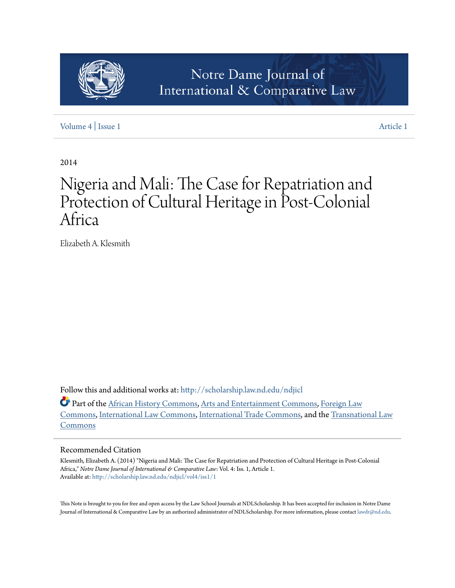

# [Volume 4](http://scholarship.law.nd.edu/ndjicl/vol4?utm_source=scholarship.law.nd.edu%2Fndjicl%2Fvol4%2Fiss1%2F1&utm_medium=PDF&utm_campaign=PDFCoverPages) | [Issue 1](http://scholarship.law.nd.edu/ndjicl/vol4/iss1?utm_source=scholarship.law.nd.edu%2Fndjicl%2Fvol4%2Fiss1%2F1&utm_medium=PDF&utm_campaign=PDFCoverPages) [Article 1](http://scholarship.law.nd.edu/ndjicl/vol4/iss1/1?utm_source=scholarship.law.nd.edu%2Fndjicl%2Fvol4%2Fiss1%2F1&utm_medium=PDF&utm_campaign=PDFCoverPages)

2014

# Nigeria and Mali: The Case for Repatriation and Protection of Cultural Heritage in Post-Colonial Africa

Elizabeth A. Klesmith

Follow this and additional works at: [http://scholarship.law.nd.edu/ndjicl](http://scholarship.law.nd.edu/ndjicl?utm_source=scholarship.law.nd.edu%2Fndjicl%2Fvol4%2Fiss1%2F1&utm_medium=PDF&utm_campaign=PDFCoverPages)

Part of the [African History Commons,](http://network.bepress.com/hgg/discipline/490?utm_source=scholarship.law.nd.edu%2Fndjicl%2Fvol4%2Fiss1%2F1&utm_medium=PDF&utm_campaign=PDFCoverPages) [Arts and Entertainment Commons,](http://network.bepress.com/hgg/discipline/832?utm_source=scholarship.law.nd.edu%2Fndjicl%2Fvol4%2Fiss1%2F1&utm_medium=PDF&utm_campaign=PDFCoverPages) [Foreign Law](http://network.bepress.com/hgg/discipline/1058?utm_source=scholarship.law.nd.edu%2Fndjicl%2Fvol4%2Fiss1%2F1&utm_medium=PDF&utm_campaign=PDFCoverPages) [Commons,](http://network.bepress.com/hgg/discipline/1058?utm_source=scholarship.law.nd.edu%2Fndjicl%2Fvol4%2Fiss1%2F1&utm_medium=PDF&utm_campaign=PDFCoverPages) [International Law Commons](http://network.bepress.com/hgg/discipline/609?utm_source=scholarship.law.nd.edu%2Fndjicl%2Fvol4%2Fiss1%2F1&utm_medium=PDF&utm_campaign=PDFCoverPages), [International Trade Commons,](http://network.bepress.com/hgg/discipline/848?utm_source=scholarship.law.nd.edu%2Fndjicl%2Fvol4%2Fiss1%2F1&utm_medium=PDF&utm_campaign=PDFCoverPages) and the [Transnational Law](http://network.bepress.com/hgg/discipline/1123?utm_source=scholarship.law.nd.edu%2Fndjicl%2Fvol4%2Fiss1%2F1&utm_medium=PDF&utm_campaign=PDFCoverPages) [Commons](http://network.bepress.com/hgg/discipline/1123?utm_source=scholarship.law.nd.edu%2Fndjicl%2Fvol4%2Fiss1%2F1&utm_medium=PDF&utm_campaign=PDFCoverPages)

# Recommended Citation

Klesmith, Elizabeth A. (2014) "Nigeria and Mali: The Case for Repatriation and Protection of Cultural Heritage in Post-Colonial Africa," *Notre Dame Journal of International & Comparative Law*: Vol. 4: Iss. 1, Article 1. Available at: [http://scholarship.law.nd.edu/ndjicl/vol4/iss1/1](http://scholarship.law.nd.edu/ndjicl/vol4/iss1/1?utm_source=scholarship.law.nd.edu%2Fndjicl%2Fvol4%2Fiss1%2F1&utm_medium=PDF&utm_campaign=PDFCoverPages)

This Note is brought to you for free and open access by the Law School Journals at NDLScholarship. It has been accepted for inclusion in Notre Dame Journal of International & Comparative Law by an authorized administrator of NDLScholarship. For more information, please contact [lawdr@nd.edu.](mailto:lawdr@nd.edu)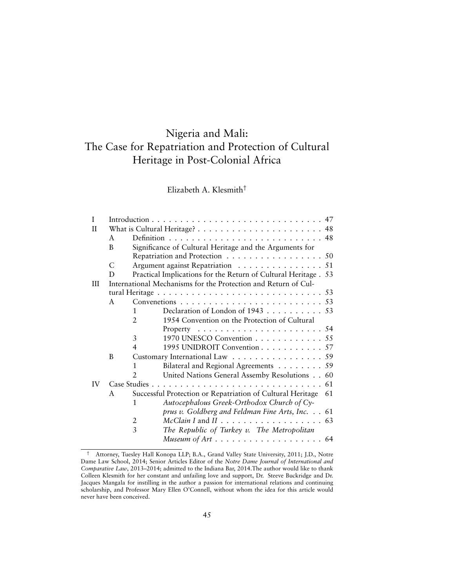# Nigeria and Mali: The Case for Repatriation and Protection of Cultural Heritage in Post-Colonial Africa

# Elizabeth A. Klesmith†

| T            |                                                                                               |                                                                                                                               |                                                                    |  |  |  |  |  |
|--------------|-----------------------------------------------------------------------------------------------|-------------------------------------------------------------------------------------------------------------------------------|--------------------------------------------------------------------|--|--|--|--|--|
| $\mathbf{I}$ |                                                                                               |                                                                                                                               |                                                                    |  |  |  |  |  |
|              | A                                                                                             |                                                                                                                               |                                                                    |  |  |  |  |  |
|              | B                                                                                             | Significance of Cultural Heritage and the Arguments for<br>Repatriation and Protection 50<br>Argument against Repatriation 51 |                                                                    |  |  |  |  |  |
|              |                                                                                               |                                                                                                                               |                                                                    |  |  |  |  |  |
|              | C                                                                                             |                                                                                                                               |                                                                    |  |  |  |  |  |
|              | D                                                                                             |                                                                                                                               | Practical Implications for the Return of Cultural Heritage . 53    |  |  |  |  |  |
| III          |                                                                                               |                                                                                                                               | International Mechanisms for the Protection and Return of Cul-     |  |  |  |  |  |
|              | tural Heritage $\ldots \ldots \ldots \ldots \ldots \ldots \ldots \ldots \ldots \ldots \ldots$ |                                                                                                                               |                                                                    |  |  |  |  |  |
|              | $\mathsf{A}$                                                                                  |                                                                                                                               |                                                                    |  |  |  |  |  |
|              |                                                                                               | 1                                                                                                                             | Declaration of London of 1943 53                                   |  |  |  |  |  |
|              |                                                                                               | $\overline{2}$                                                                                                                | 1954 Convention on the Protection of Cultural                      |  |  |  |  |  |
|              |                                                                                               |                                                                                                                               |                                                                    |  |  |  |  |  |
|              |                                                                                               | 3                                                                                                                             | 1970 UNESCO Convention 55                                          |  |  |  |  |  |
|              |                                                                                               | 4                                                                                                                             | 1995 UNIDROIT Convention 57                                        |  |  |  |  |  |
|              | B                                                                                             | Customary International Law 59                                                                                                |                                                                    |  |  |  |  |  |
|              |                                                                                               | 1                                                                                                                             | Bilateral and Regional Agreements 59                               |  |  |  |  |  |
|              |                                                                                               |                                                                                                                               | United Nations General Assemby Resolutions 60                      |  |  |  |  |  |
| <b>IV</b>    | Case Studies.                                                                                 |                                                                                                                               |                                                                    |  |  |  |  |  |
|              | A                                                                                             | Successful Protection or Repatriation of Cultural Heritage<br>61                                                              |                                                                    |  |  |  |  |  |
|              |                                                                                               | 1                                                                                                                             | Autocephalous Greek-Orthodox Church of Cy-                         |  |  |  |  |  |
|              |                                                                                               |                                                                                                                               | prus v. Goldberg and Feldman Fine Arts, Inc. 61                    |  |  |  |  |  |
|              |                                                                                               | 2                                                                                                                             |                                                                    |  |  |  |  |  |
|              |                                                                                               | 3                                                                                                                             | The Republic of Turkey v. The Metropolitan                         |  |  |  |  |  |
|              |                                                                                               |                                                                                                                               | Museum of Art $\dots \dots \dots \dots \dots \dots \dots \dots$ 64 |  |  |  |  |  |

<sup>†</sup> Attorney, Tuesley Hall Konopa LLP; B.A., Grand Valley State University, 2011; J.D., Notre Dame Law School, 2014; Senior Articles Editor of the *Notre Dame Journal of International and Comparative Law*, 2013–2014; admitted to the Indiana Bar, 2014.The author would like to thank Colleen Klesmith for her constant and unfailing love and support, Dr. Steeve Buckridge and Dr. Jacques Mangala for instilling in the author a passion for international relations and continuing scholarship, and Professor Mary Ellen O'Connell, without whom the idea for this article would never have been conceived.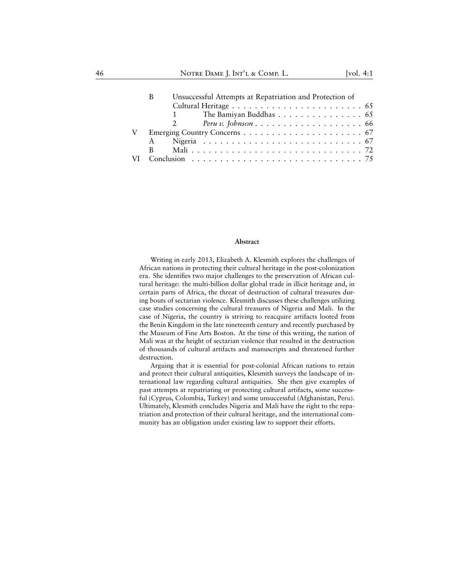| В  | Unsuccessful Attempts at Repatriation and Protection of |                        |  |  |  |  |  |  |  |  |  |  |  |  |
|----|---------------------------------------------------------|------------------------|--|--|--|--|--|--|--|--|--|--|--|--|
|    |                                                         |                        |  |  |  |  |  |  |  |  |  |  |  |  |
|    |                                                         | The Bamiyan Buddhas 65 |  |  |  |  |  |  |  |  |  |  |  |  |
|    |                                                         |                        |  |  |  |  |  |  |  |  |  |  |  |  |
|    |                                                         |                        |  |  |  |  |  |  |  |  |  |  |  |  |
| A  |                                                         |                        |  |  |  |  |  |  |  |  |  |  |  |  |
| B. |                                                         |                        |  |  |  |  |  |  |  |  |  |  |  |  |
|    |                                                         |                        |  |  |  |  |  |  |  |  |  |  |  |  |

#### **Abstract**

Writing in early 2013, Elizabeth A. Klesmith explores the challenges of African nations in protecting their cultural heritage in the post-colonization era. She identifies two major challenges to the preservation of African cultural heritage: the multi-billion dollar global trade in illicit heritage and, in certain parts of Africa, the threat of destruction of cultural treasures during bouts of sectarian violence. Klesmith discusses these challenges utilizing case studies concerning the cultural treasures of Nigeria and Mali. In the case of Nigeria, the country is striving to reacquire artifacts looted from the Benin Kingdom in the late nineteenth century and recently purchased by the Museum of Fine Arts Boston. At the time of this writing, the nation of Mali was at the height of sectarian violence that resulted in the destruction of thousands of cultural artifacts and manuscripts and threatened further destruction.

Arguing that it is essential for post-colonial African nations to retain and protect their cultural antiquities, Klesmith surveys the landscape of international law regarding cultural antiquities. She then give examples of past attempts at repatriating or protecting cultural artifacts, some successful (Cyprus, Colombia, Turkey) and some unsuccessful (Afghanistan, Peru). Ultimately, Klesmith concludes Nigeria and Mali have the right to the repatriation and protection of their cultural heritage, and the international community has an obligation under existing law to support their efforts.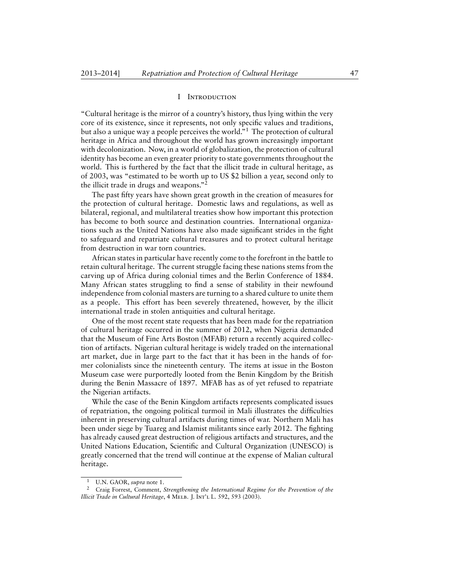#### I Introduction

"Cultural heritage is the mirror of a country's history, thus lying within the very core of its existence, since it represents, not only specific values and traditions, but also a unique way a people perceives the world."<sup>1</sup> The protection of cultural heritage in Africa and throughout the world has grown increasingly important with decolonization. Now, in a world of globalization, the protection of cultural identity has become an even greater priority to state governments throughout the world. This is furthered by the fact that the illicit trade in cultural heritage, as of 2003, was "estimated to be worth up to US \$2 billion a year, second only to the illicit trade in drugs and weapons."<sup>2</sup>

The past fifty years have shown great growth in the creation of measures for the protection of cultural heritage. Domestic laws and regulations, as well as bilateral, regional, and multilateral treaties show how important this protection has become to both source and destination countries. International organizations such as the United Nations have also made significant strides in the fight to safeguard and repatriate cultural treasures and to protect cultural heritage from destruction in war torn countries.

African states in particular have recently come to the forefront in the battle to retain cultural heritage. The current struggle facing these nations stems from the carving up of Africa during colonial times and the Berlin Conference of 1884. Many African states struggling to find a sense of stability in their newfound independence from colonial masters are turning to a shared culture to unite them as a people. This effort has been severely threatened, however, by the illicit international trade in stolen antiquities and cultural heritage.

One of the most recent state requests that has been made for the repatriation of cultural heritage occurred in the summer of 2012, when Nigeria demanded that the Museum of Fine Arts Boston (MFAB) return a recently acquired collection of artifacts. Nigerian cultural heritage is widely traded on the international art market, due in large part to the fact that it has been in the hands of former colonialists since the nineteenth century. The items at issue in the Boston Museum case were purportedly looted from the Benin Kingdom by the British during the Benin Massacre of 1897. MFAB has as of yet refused to repatriate the Nigerian artifacts.

While the case of the Benin Kingdom artifacts represents complicated issues of repatriation, the ongoing political turmoil in Mali illustrates the difficulties inherent in preserving cultural artifacts during times of war. Northern Mali has been under siege by Tuareg and Islamist militants since early 2012. The fighting has already caused great destruction of religious artifacts and structures, and the United Nations Education, Scientific and Cultural Organization (UNESCO) is greatly concerned that the trend will continue at the expense of Malian cultural heritage.

<sup>1</sup> U.N. GAOR, *supra* note 1.

<sup>2</sup> Craig Forrest, Comment, *Strengthening the International Regime for the Prevention of the Illicit Trade in Cultural Heritage*, 4 Melb. J. Int'l L. 592, 593 (2003).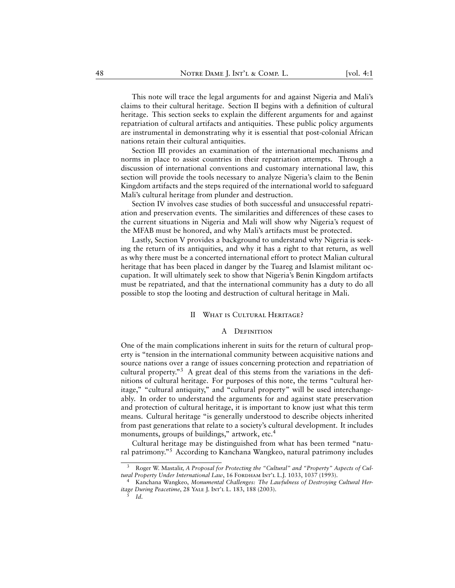This note will trace the legal arguments for and against Nigeria and Mali's claims to their cultural heritage. Section II begins with a definition of cultural heritage. This section seeks to explain the different arguments for and against repatriation of cultural artifacts and antiquities. These public policy arguments are instrumental in demonstrating why it is essential that post-colonial African nations retain their cultural antiquities.

Section III provides an examination of the international mechanisms and norms in place to assist countries in their repatriation attempts. Through a discussion of international conventions and customary international law, this section will provide the tools necessary to analyze Nigeria's claim to the Benin Kingdom artifacts and the steps required of the international world to safeguard Mali's cultural heritage from plunder and destruction.

Section IV involves case studies of both successful and unsuccessful repatriation and preservation events. The similarities and differences of these cases to the current situations in Nigeria and Mali will show why Nigeria's request of the MFAB must be honored, and why Mali's artifacts must be protected.

Lastly, Section V provides a background to understand why Nigeria is seeking the return of its antiquities, and why it has a right to that return, as well as why there must be a concerted international effort to protect Malian cultural heritage that has been placed in danger by the Tuareg and Islamist militant occupation. It will ultimately seek to show that Nigeria's Benin Kingdom artifacts must be repatriated, and that the international community has a duty to do all possible to stop the looting and destruction of cultural heritage in Mali.

#### II What is Cultural Heritage?

#### A Definition

One of the main complications inherent in suits for the return of cultural property is "tension in the international community between acquisitive nations and source nations over a range of issues concerning protection and repatriation of cultural property."<sup>3</sup> A great deal of this stems from the variations in the definitions of cultural heritage. For purposes of this note, the terms "cultural heritage," "cultural antiquity," and "cultural property" will be used interchangeably. In order to understand the arguments for and against state preservation and protection of cultural heritage, it is important to know just what this term means. Cultural heritage "is generally understood to describe objects inherited from past generations that relate to a society's cultural development. It includes monuments, groups of buildings," artwork, etc.<sup>4</sup>

Cultural heritage may be distinguished from what has been termed "natural patrimony."<sup>5</sup> According to Kanchana Wangkeo, natural patrimony includes

5

<sup>3</sup> Roger W. Mastalir, *A Proposal for Protecting the "Cultural" and "Property" Aspects of Cul*tural Property Under International Law, 16 FORDHAM INT'L L.J. 1033, 1037 (1993).

<sup>4</sup> Kanchana Wangkeo, *Monumental Challenges: The Lawfulness of Destroying Cultural Heritage During Peacetime*, 28 Yale J. Int'l L. 183, 188 (2003).

*Id.*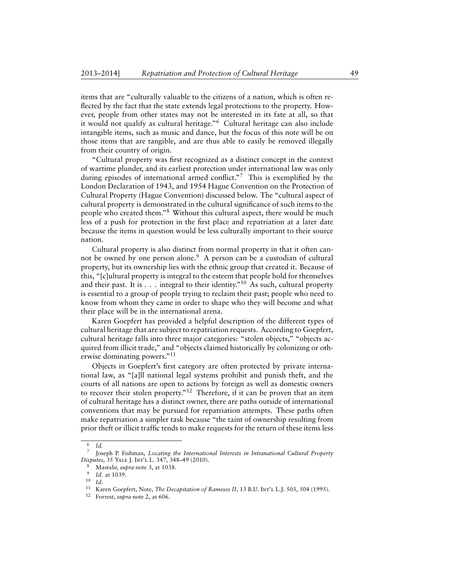items that are "culturally valuable to the citizens of a nation, which is often reflected by the fact that the state extends legal protections to the property. However, people from other states may not be interested in its fate at all, so that it would not qualify as cultural heritage."<sup>6</sup> Cultural heritage can also include intangible items, such as music and dance, but the focus of this note will be on those items that are tangible, and are thus able to easily be removed illegally from their country of origin.

"Cultural property was first recognized as a distinct concept in the context of wartime plunder, and its earliest protection under international law was only during episodes of international armed conflict."<sup>7</sup> This is exemplified by the London Declaration of 1943, and 1954 Hague Convention on the Protection of Cultural Property (Hague Convention) discussed below. The "cultural aspect of cultural property is demonstrated in the cultural significance of such items to the people who created them."<sup>8</sup> Without this cultural aspect, there would be much less of a push for protection in the first place and repatriation at a later date because the items in question would be less culturally important to their source nation.

Cultural property is also distinct from normal property in that it often cannot be owned by one person alone.<sup>9</sup> A person can be a custodian of cultural property, but its ownership lies with the ethnic group that created it. Because of this, "[c]ultural property is integral to the esteem that people hold for themselves and their past. It is  $\ldots$  integral to their identity."<sup>10</sup> As such, cultural property is essential to a group of people trying to reclaim their past; people who need to know from whom they came in order to shape who they will become and what their place will be in the international arena.

Karen Goepfert has provided a helpful description of the different types of cultural heritage that are subject to repatriation requests. According to Goepfert, cultural heritage falls into three major categories: "stolen objects," "objects acquired from illicit trade," and "objects claimed historically by colonizing or otherwise dominating powers."<sup>11</sup>

Objects in Goepfert's first category are often protected by private international law, as "[a]ll national legal systems prohibit and punish theft, and the courts of all nations are open to actions by foreign as well as domestic owners to recover their stolen property."<sup>12</sup> Therefore, if it can be proven that an item of cultural heritage has a distinct owner, there are paths outside of international conventions that may be pursued for repatriation attempts. These paths often make repatriation a simpler task because "the taint of ownership resulting from prior theft or illicit traffic tends to make requests for the return of these items less

<sup>6</sup> *Id.*

<sup>7</sup> Joseph P. Fishman, *Locating the International Interests in Intranational Cultural Property Disputes*, 35 Yale J. Int'l L. 347, 348–49 (2010).

<sup>8</sup> Mastalir, *supra* note 3, at 1038.

<sup>9</sup> *Id.* at 1039.

<sup>10</sup> *Id.*

<sup>&</sup>lt;sup>11</sup> Karen Goepfert, Note, *The Decapitation of Rameses II*, 13 B.U. Int't. L.J. 503, 504 (1995).

<sup>12</sup> Forrest, *supra* note 2, at 606.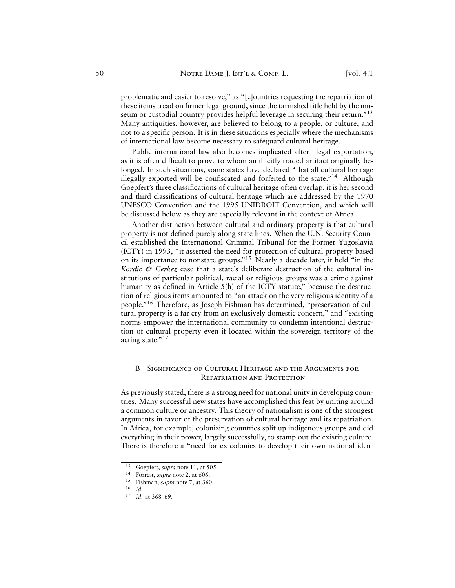problematic and easier to resolve," as "[c]ountries requesting the repatriation of these items tread on firmer legal ground, since the tarnished title held by the museum or custodial country provides helpful leverage in securing their return."<sup>13</sup> Many antiquities, however, are believed to belong to a people, or culture, and not to a specific person. It is in these situations especially where the mechanisms of international law become necessary to safeguard cultural heritage.

Public international law also becomes implicated after illegal exportation, as it is often difficult to prove to whom an illicitly traded artifact originally belonged. In such situations, some states have declared "that all cultural heritage illegally exported will be confiscated and forfeited to the state."<sup>14</sup> Although Goepfert's three classifications of cultural heritage often overlap, it is her second and third classifications of cultural heritage which are addressed by the 1970 UNESCO Convention and the 1995 UNIDROIT Convention, and which will be discussed below as they are especially relevant in the context of Africa.

Another distinction between cultural and ordinary property is that cultural property is not defined purely along state lines. When the U.N. Security Council established the International Criminal Tribunal for the Former Yugoslavia (ICTY) in 1993, "it asserted the need for protection of cultural property based on its importance to nonstate groups."<sup>15</sup> Nearly a decade later, it held "in the *Kordic & Cerkez* case that a state's deliberate destruction of the cultural institutions of particular political, racial or religious groups was a crime against humanity as defined in Article 5(h) of the ICTY statute," because the destruction of religious items amounted to "an attack on the very religious identity of a people."<sup>16</sup> Therefore, as Joseph Fishman has determined, "preservation of cultural property is a far cry from an exclusively domestic concern," and "existing norms empower the international community to condemn intentional destruction of cultural property even if located within the sovereign territory of the acting state."<sup>17</sup>

#### B Significance of Cultural Heritage and the Arguments for Repatriation and Protection

As previously stated, there is a strong need for national unity in developing countries. Many successful new states have accomplished this feat by uniting around a common culture or ancestry. This theory of nationalism is one of the strongest arguments in favor of the preservation of cultural heritage and its repatriation. In Africa, for example, colonizing countries split up indigenous groups and did everything in their power, largely successfully, to stamp out the existing culture. There is therefore a "need for ex-colonies to develop their own national iden-

<sup>13</sup> Goepfert, *supra* note 11, at 505.

<sup>14</sup> Forrest, *supra* note 2, at 606.

<sup>15</sup> Fishman, *supra* note 7, at 360.

<sup>16</sup> *Id.*

<sup>17</sup> *Id.* at 368–69.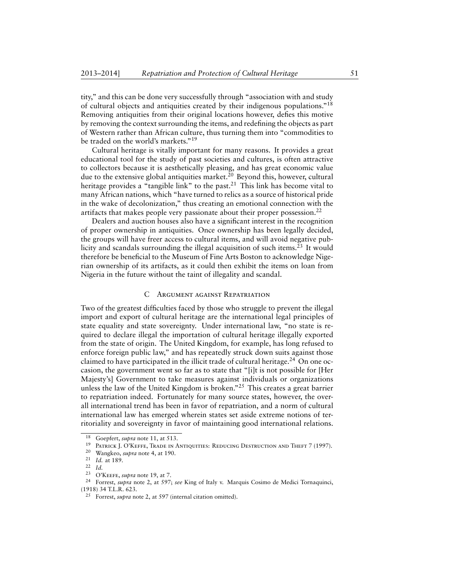tity," and this can be done very successfully through "association with and study of cultural objects and antiquities created by their indigenous populations."<sup>18</sup> Removing antiquities from their original locations however, defies this motive by removing the context surrounding the items, and redefining the objects as part of Western rather than African culture, thus turning them into "commodities to be traded on the world's markets."<sup>19</sup>

Cultural heritage is vitally important for many reasons. It provides a great educational tool for the study of past societies and cultures, is often attractive to collectors because it is aesthetically pleasing, and has great economic value due to the extensive global antiquities market.<sup>20</sup> Beyond this, however, cultural heritage provides a "tangible link" to the past.<sup>21</sup> This link has become vital to many African nations, which "have turned to relics as a source of historical pride in the wake of decolonization," thus creating an emotional connection with the artifacts that makes people very passionate about their proper possession.<sup>22</sup>

Dealers and auction houses also have a significant interest in the recognition of proper ownership in antiquities. Once ownership has been legally decided, the groups will have freer access to cultural items, and will avoid negative publicity and scandals surrounding the illegal acquisition of such items.<sup>23</sup> It would therefore be beneficial to the Museum of Fine Arts Boston to acknowledge Nigerian ownership of its artifacts, as it could then exhibit the items on loan from Nigeria in the future without the taint of illegality and scandal.

#### C Argument against Repatriation

Two of the greatest difficulties faced by those who struggle to prevent the illegal import and export of cultural heritage are the international legal principles of state equality and state sovereignty. Under international law, "no state is required to declare illegal the importation of cultural heritage illegally exported from the state of origin. The United Kingdom, for example, has long refused to enforce foreign public law," and has repeatedly struck down suits against those claimed to have participated in the illicit trade of cultural heritage.<sup>24</sup> On one occasion, the government went so far as to state that "[i]t is not possible for [Her Majesty's] Government to take measures against individuals or organizations unless the law of the United Kingdom is broken."<sup>25</sup> This creates a great barrier to repatriation indeed. Fortunately for many source states, however, the overall international trend has been in favor of repatriation, and a norm of cultural international law has emerged wherein states set aside extreme notions of territoriality and sovereignty in favor of maintaining good international relations.

<sup>18</sup> Goepfert, *supra* note 11, at 513.

<sup>19</sup> Patrick J. O'Keffe, Trade in Antiquities: Reducing Destruction and Theft 7 (1997).

<sup>20</sup> Wangkeo, *supra* note 4, at 190.

<sup>21</sup> *Id.* at 189.

 $\frac{22}{23}$  *Id.* 

<sup>&</sup>lt;sup>23</sup> O'Keefe, *supra* note 19, at 7.<br><sup>24</sup> Forrest, *supra* note 2, at 597.

<sup>24</sup> Forrest, *supra* note 2, at 597; *see* King of Italy v. Marquis Cosimo de Medici Tornaquinci, (1918) 34 T.L.R. 623.

<sup>25</sup> Forrest, *supra* note 2, at 597 (internal citation omitted).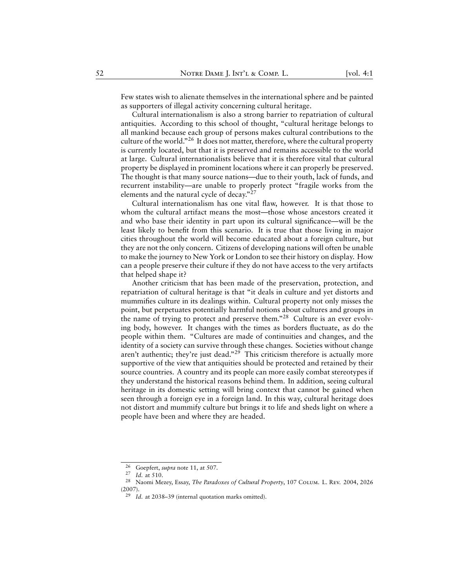Few states wish to alienate themselves in the international sphere and be painted as supporters of illegal activity concerning cultural heritage.

Cultural internationalism is also a strong barrier to repatriation of cultural antiquities. According to this school of thought, "cultural heritage belongs to all mankind because each group of persons makes cultural contributions to the culture of the world."<sup>26</sup> It does not matter, therefore, where the cultural property is currently located, but that it is preserved and remains accessible to the world at large. Cultural internationalists believe that it is therefore vital that cultural property be displayed in prominent locations where it can properly be preserved. The thought is that many source nations—due to their youth, lack of funds, and recurrent instability—are unable to properly protect "fragile works from the elements and the natural cycle of decay."<sup>27</sup>

Cultural internationalism has one vital flaw, however. It is that those to whom the cultural artifact means the most—those whose ancestors created it and who base their identity in part upon its cultural significance—will be the least likely to benefit from this scenario. It is true that those living in major cities throughout the world will become educated about a foreign culture, but they are not the only concern. Citizens of developing nations will often be unable to make the journey to New York or London to see their history on display. How can a people preserve their culture if they do not have access to the very artifacts that helped shape it?

Another criticism that has been made of the preservation, protection, and repatriation of cultural heritage is that "it deals in culture and yet distorts and mummifies culture in its dealings within. Cultural property not only misses the point, but perpetuates potentially harmful notions about cultures and groups in the name of trying to protect and preserve them."<sup>28</sup> Culture is an ever evolving body, however. It changes with the times as borders fluctuate, as do the people within them. "Cultures are made of continuities and changes, and the identity of a society can survive through these changes. Societies without change aren't authentic; they're just dead."<sup>29</sup> This criticism therefore is actually more supportive of the view that antiquities should be protected and retained by their source countries. A country and its people can more easily combat stereotypes if they understand the historical reasons behind them. In addition, seeing cultural heritage in its domestic setting will bring context that cannot be gained when seen through a foreign eye in a foreign land. In this way, cultural heritage does not distort and mummify culture but brings it to life and sheds light on where a people have been and where they are headed.

 $^{26}$  Goepfert, *supra* note 11, at 507.

 $\frac{27}{28}$  *Id.* at 510.

<sup>28</sup> Naomi Mezey, Essay, *The Paradoxes of Cultural Property*, 107 Colum. L. Rev. 2004, 2026 (2007).

<sup>29</sup> *Id.* at 2038–39 (internal quotation marks omitted).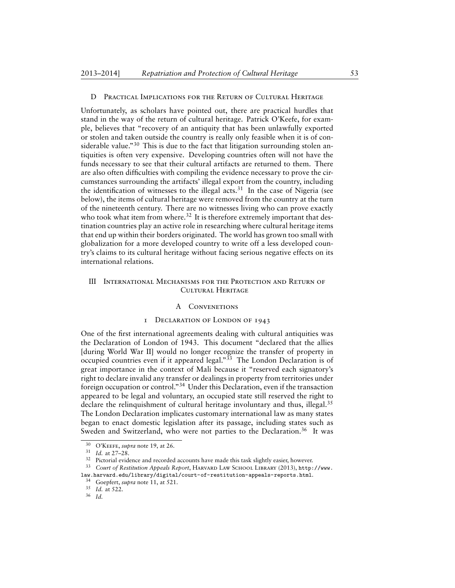#### D Practical Implications for the Return of Cultural Heritage

Unfortunately, as scholars have pointed out, there are practical hurdles that stand in the way of the return of cultural heritage. Patrick O'Keefe, for example, believes that "recovery of an antiquity that has been unlawfully exported or stolen and taken outside the country is really only feasible when it is of considerable value."<sup>30</sup> This is due to the fact that litigation surrounding stolen antiquities is often very expensive. Developing countries often will not have the funds necessary to see that their cultural artifacts are returned to them. There are also often difficulties with compiling the evidence necessary to prove the circumstances surrounding the artifacts' illegal export from the country, including the identification of witnesses to the illegal acts.<sup>31</sup> In the case of Nigeria (see below), the items of cultural heritage were removed from the country at the turn of the nineteenth century. There are no witnesses living who can prove exactly who took what item from where.<sup>32</sup> It is therefore extremely important that destination countries play an active role in researching where cultural heritage items that end up within their borders originated. The world has grown too small with globalization for a more developed country to write off a less developed country's claims to its cultural heritage without facing serious negative effects on its international relations.

# III International Mechanisms for the Protection and Return of Cultural Heritage

#### A Convenetions

#### 1 Declaration of London of 1943

One of the first international agreements dealing with cultural antiquities was the Declaration of London of 1943. This document "declared that the allies [during World War II] would no longer recognize the transfer of property in occupied countries even if it appeared legal."<sup>33</sup> The London Declaration is of great importance in the context of Mali because it "reserved each signatory's right to declare invalid any transfer or dealings in property from territories under foreign occupation or control."<sup>34</sup> Under this Declaration, even if the transaction appeared to be legal and voluntary, an occupied state still reserved the right to declare the relinquishment of cultural heritage involuntary and thus, illegal. $35$ The London Declaration implicates customary international law as many states began to enact domestic legislation after its passage, including states such as Sweden and Switzerland, who were not parties to the Declaration.<sup>36</sup> It was

<sup>30</sup> O'Keefe, *supra* note 19, at 26.

<sup>31</sup> *Id.* at 27–28.

<sup>&</sup>lt;sup>32</sup> Pictorial evidence and recorded accounts have made this task slightly easier, however.

<sup>33</sup> *Court of Restitution Appeals Report*, Harvard Law School Library (2013), [http://www.](http://www.law.harvard.edu/library/digital/court-of-restitution-appeals-reports.html) [law.harvard.edu/library/digital/court-of-restitution-appeals-reports.html](http://www.law.harvard.edu/library/digital/court-of-restitution-appeals-reports.html).

<sup>34</sup> Goepfert, *supra* note 11, at 521.

<sup>35</sup> *Id.* at 522.

<sup>36</sup> *Id.*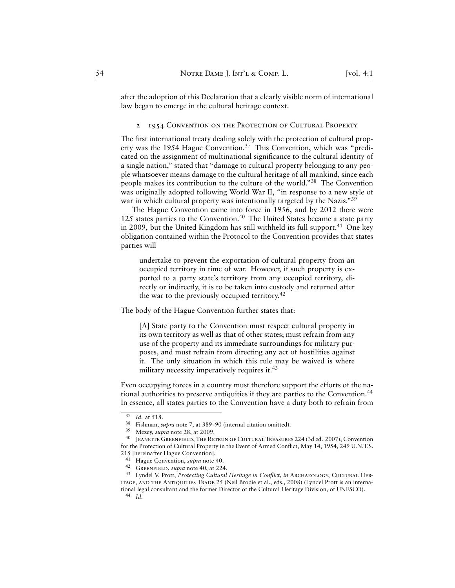after the adoption of this Declaration that a clearly visible norm of international law began to emerge in the cultural heritage context.

#### 2 1954 CONVENTION ON THE PROTECTION OF CULTURAL PROPERTY

The first international treaty dealing solely with the protection of cultural property was the 1954 Hague Convention.<sup>37</sup> This Convention, which was "predicated on the assignment of multinational significance to the cultural identity of a single nation," stated that "damage to cultural property belonging to any people whatsoever means damage to the cultural heritage of all mankind, since each people makes its contribution to the culture of the world."<sup>38</sup> The Convention was originally adopted following World War II, "in response to a new style of war in which cultural property was intentionally targeted by the Nazis."<sup>39</sup>

The Hague Convention came into force in 1956, and by 2012 there were 125 states parties to the Convention.<sup>40</sup> The United States became a state party in 2009, but the United Kingdom has still withheld its full support.<sup>41</sup> One key obligation contained within the Protocol to the Convention provides that states parties will

undertake to prevent the exportation of cultural property from an occupied territory in time of war. However, if such property is exported to a party state's territory from any occupied territory, directly or indirectly, it is to be taken into custody and returned after the war to the previously occupied territory.<sup>42</sup>

The body of the Hague Convention further states that:

[A] State party to the Convention must respect cultural property in its own territory as well as that of other states; must refrain from any use of the property and its immediate surroundings for military purposes, and must refrain from directing any act of hostilities against it. The only situation in which this rule may be waived is where military necessity imperatively requires it.<sup>43</sup>

Even occupying forces in a country must therefore support the efforts of the national authorities to preserve antiquities if they are parties to the Convention.<sup>44</sup> In essence, all states parties to the Convention have a duty both to refrain from

 $rac{37}{38}$  *Id.* at 518.

<sup>&</sup>lt;sup>38</sup> Fishman, *supra* note 7, at 389–90 (internal citation omitted).<br><sup>39</sup> Mezev *supra* note 28, at 2009

 $39$  Mezey, *supra* note 28, at 2009.

JEANETTE GREENFIELD, THE RETRUN OF CULTURAL TREASURES 224 (3d ed. 2007); Convention for the Protection of Cultural Property in the Event of Armed Conflict, May 14, 1954, 249 U.N.T.S. 215 [hereinafter Hague Convention].

<sup>41</sup> Hague Convention, *supra* note 40.

<sup>42</sup> Greenfield, *supra* note 40, at 224.

<sup>43</sup> Lyndel V. Prott, *Protecting Cultural Heritage in Conflict*, *in* Archaeology, Cultural Her-ITAGE, AND THE ANTIQUITIES TRADE 25 (Neil Brodie et al., eds., 2008) (Lyndel Prott is an international legal consultant and the former Director of the Cultural Heritage Division, of UNESCO).

<sup>44</sup> *Id.*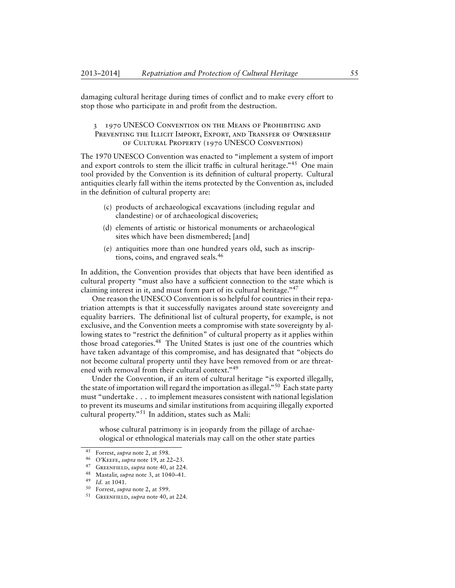damaging cultural heritage during times of conflict and to make every effort to stop those who participate in and profit from the destruction.

# 3 1970 UNESCO Convention on the Means of Prohibiting and PREVENTING THE ILLICIT IMPORT, EXPORT, AND TRANSFER OF OWNERSHIP of Cultural Property (1970 UNESCO Convention)

The 1970 UNESCO Convention was enacted to "implement a system of import and export controls to stem the illicit traffic in cultural heritage."<sup>45</sup> One main tool provided by the Convention is its definition of cultural property. Cultural antiquities clearly fall within the items protected by the Convention as, included in the definition of cultural property are:

- (c) products of archaeological excavations (including regular and clandestine) or of archaeological discoveries;
- (d) elements of artistic or historical monuments or archaeological sites which have been dismembered; [and]
- (e) antiquities more than one hundred years old, such as inscriptions, coins, and engraved seals.<sup>46</sup>

In addition, the Convention provides that objects that have been identified as cultural property "must also have a sufficient connection to the state which is claiming interest in it, and must form part of its cultural heritage."<sup>47</sup>

One reason the UNESCO Convention is so helpful for countries in their repatriation attempts is that it successfully navigates around state sovereignty and equality barriers. The definitional list of cultural property, for example, is not exclusive, and the Convention meets a compromise with state sovereignty by allowing states to "restrict the definition" of cultural property as it applies within those broad categories.<sup>48</sup> The United States is just one of the countries which have taken advantage of this compromise, and has designated that "objects do not become cultural property until they have been removed from or are threatened with removal from their cultural context."<sup>49</sup>

Under the Convention, if an item of cultural heritage "is exported illegally, the state of importation will regard the importation as illegal."<sup>50</sup> Each state party must "undertake . . . to implement measures consistent with national legislation to prevent its museums and similar institutions from acquiring illegally exported cultural property."<sup>51</sup> In addition, states such as Mali:

whose cultural patrimony is in jeopardy from the pillage of archaeological or ethnological materials may call on the other state parties

<sup>45</sup> Forrest, *supra* note 2, at 598.

<sup>&</sup>lt;sup>46</sup> O'Keefe, *supra* note 19, at 22–23.

GREENFIELD, *supra* note 40, at 224.

<sup>48</sup> Mastalir, *supra* note 3, at 1040–41.

<sup>49</sup> *Id.* at 1041.

<sup>50</sup> Forrest, *supra* note 2, at 599.

<sup>51</sup> Greenfield, *supra* note 40, at 224.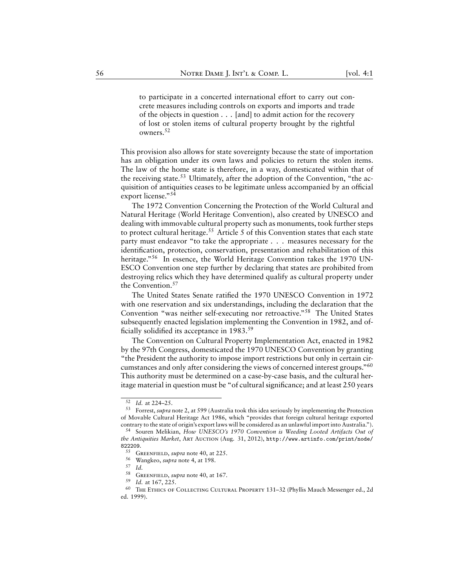to participate in a concerted international effort to carry out concrete measures including controls on exports and imports and trade of the objects in question . . . [and] to admit action for the recovery of lost or stolen items of cultural property brought by the rightful owners.<sup>52</sup>

This provision also allows for state sovereignty because the state of importation has an obligation under its own laws and policies to return the stolen items. The law of the home state is therefore, in a way, domesticated within that of the receiving state.<sup>53</sup> Ultimately, after the adoption of the Convention, "the acquisition of antiquities ceases to be legitimate unless accompanied by an official export license."<sup>54</sup>

The 1972 Convention Concerning the Protection of the World Cultural and Natural Heritage (World Heritage Convention), also created by UNESCO and dealing with immovable cultural property such as monuments, took further steps to protect cultural heritage.<sup>55</sup> Article 5 of this Convention states that each state party must endeavor "to take the appropriate . . . measures necessary for the identification, protection, conservation, presentation and rehabilitation of this heritage."<sup>56</sup> In essence, the World Heritage Convention takes the 1970 UN-ESCO Convention one step further by declaring that states are prohibited from destroying relics which they have determined qualify as cultural property under the Convention.<sup>57</sup>

The United States Senate ratified the 1970 UNESCO Convention in 1972 with one reservation and six understandings, including the declaration that the Convention "was neither self-executing nor retroactive."<sup>58</sup> The United States subsequently enacted legislation implementing the Convention in 1982, and officially solidified its acceptance in 1983.<sup>59</sup>

The Convention on Cultural Property Implementation Act, enacted in 1982 by the 97th Congress, domesticated the 1970 UNESCO Convention by granting "the President the authority to impose import restrictions but only in certain circumstances and only after considering the views of concerned interest groups."<sup>60</sup> This authority must be determined on a case-by-case basis, and the cultural heritage material in question must be "of cultural significance; and at least 250 years

<sup>52</sup> *Id.* at 224–25.

<sup>53</sup> Forrest, *supra* note 2, at 599 (Australia took this idea seriously by implementing the Protection of Movable Cultural Heritage Act 1986, which "provides that foreign cultural heritage exported contrary to the state of origin's export laws will be considered as an unlawful import into Australia.").

<sup>54</sup> Souren Melikian, *How UNESCO's 1970 Convention is Weeding Looted Artifacts Out of the Antiquities Market*, Art Auction (Aug. 31, 2012), [http://www.artinfo.com/print/node/](http://www.artinfo.com/print/node/822209) [822209](http://www.artinfo.com/print/node/822209).

<sup>55</sup> Greenfield, *supra* note 40, at 225.

<sup>56</sup> Wangkeo, *supra* note 4, at 198.

 $rac{57}{58}$  *Id.* 

<sup>&</sup>lt;sup>58</sup> GREENFIELD, *supra* note 40, at 167.<br> $\frac{59}{14}$  at 167.

<sup>59</sup> *Id.* at 167, 225.

<sup>60</sup> The Ethics of Collecting Cultural Property 131–32 (Phyllis Mauch Messenger ed., 2d ed. 1999).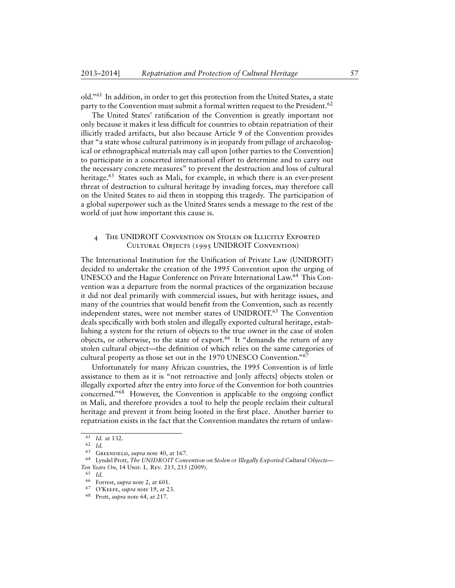old."<sup>61</sup> In addition, in order to get this protection from the United States, a state party to the Convention must submit a formal written request to the President.<sup>62</sup>

The United States' ratification of the Convention is greatly important not only because it makes it less difficult for countries to obtain repatriation of their illicitly traded artifacts, but also because Article 9 of the Convention provides that "a state whose cultural patrimony is in jeopardy from pillage of archaeological or ethnographical materials may call upon [other parties to the Convention] to participate in a concerted international effort to determine and to carry out the necessary concrete measures" to prevent the destruction and loss of cultural heritage.<sup>63</sup> States such as Mali, for example, in which there is an ever-present threat of destruction to cultural heritage by invading forces, may therefore call on the United States to aid them in stopping this tragedy. The participation of a global superpower such as the United States sends a message to the rest of the world of just how important this cause is.

# 4 The UNIDROIT Convention on Stolen or Illicitly Exported Cultural Objects (1995 UNIDROIT Convention)

The International Institution for the Unification of Private Law (UNIDROIT) decided to undertake the creation of the 1995 Convention upon the urging of UNESCO and the Hague Conference on Private International Law.<sup>64</sup> This Convention was a departure from the normal practices of the organization because it did not deal primarily with commercial issues, but with heritage issues, and many of the countries that would benefit from the Convention, such as recently independent states, were not member states of UNIDROIT.<sup>65</sup> The Convention deals specifically with both stolen and illegally exported cultural heritage, establishing a system for the return of objects to the true owner in the case of stolen objects, or otherwise, to the state of export.<sup>66</sup> It "demands the return of any stolen cultural object—the definition of which relies on the same categories of cultural property as those set out in the 1970 UNESCO Convention."<sup>67</sup>

Unfortunately for many African countries, the 1995 Convention is of little assistance to them as it is "not retroactive and [only affects] objects stolen or illegally exported after the entry into force of the Convention for both countries concerned."<sup>68</sup> However, the Convention is applicable to the ongoing conflict in Mali, and therefore provides a tool to help the people reclaim their cultural heritage and prevent it from being looted in the first place. Another barrier to repatriation exists in the fact that the Convention mandates the return of unlaw-

<sup>61</sup> *Id.* at 132.

<sup>62</sup> *Id.*

<sup>63</sup> Greenfield, *supra* note 40, at 167.

<sup>64</sup> Lyndel Prott, *The UNIDROIT Convention on Stolen or Illegally Exported Cultural Objects— Ten Years On*, 14 Unif. L. Rev. 215, 215 (2009).

<sup>65</sup> *Id.*

<sup>66</sup> Forrest, *supra* note 2, at 601.

<sup>67</sup> O'Keefe, *supra* note 19, at 23.

<sup>68</sup> Prott, *supra* note 64, at 217.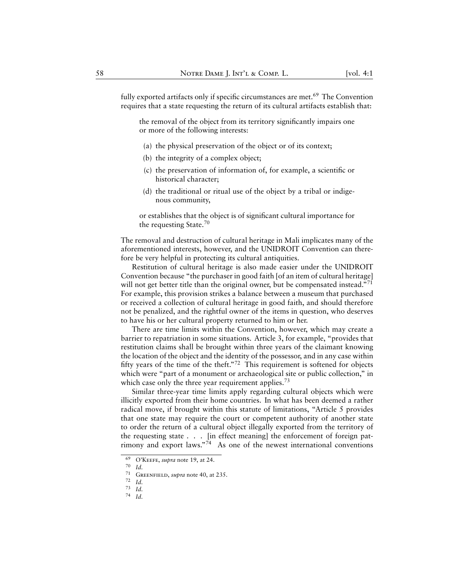fully exported artifacts only if specific circumstances are met.<sup>69</sup> The Convention requires that a state requesting the return of its cultural artifacts establish that:

the removal of the object from its territory significantly impairs one or more of the following interests:

- (a) the physical preservation of the object or of its context;
- (b) the integrity of a complex object;
- (c) the preservation of information of, for example, a scientific or historical character;
- (d) the traditional or ritual use of the object by a tribal or indigenous community,

or establishes that the object is of significant cultural importance for the requesting State.<sup>70</sup>

The removal and destruction of cultural heritage in Mali implicates many of the aforementioned interests, however, and the UNIDROIT Convention can therefore be very helpful in protecting its cultural antiquities.

Restitution of cultural heritage is also made easier under the UNIDROIT Convention because "the purchaser in good faith [of an item of cultural heritage] will not get better title than the original owner, but be compensated instead."<sup>71</sup> For example, this provision strikes a balance between a museum that purchased or received a collection of cultural heritage in good faith, and should therefore not be penalized, and the rightful owner of the items in question, who deserves to have his or her cultural property returned to him or her.

There are time limits within the Convention, however, which may create a barrier to repatriation in some situations. Article 3, for example, "provides that restitution claims shall be brought within three years of the claimant knowing the location of the object and the identity of the possessor, and in any case within fifty years of the time of the theft."<sup>72</sup> This requirement is softened for objects which were "part of a monument or archaeological site or public collection," in which case only the three year requirement applies.<sup>73</sup>

Similar three-year time limits apply regarding cultural objects which were illicitly exported from their home countries. In what has been deemed a rather radical move, if brought within this statute of limitations, "Article 5 provides that one state may require the court or competent authority of another state to order the return of a cultural object illegally exported from the territory of the requesting state . . . [in effect meaning] the enforcement of foreign patrimony and export laws."<sup>74</sup> As one of the newest international conventions

<sup>&</sup>lt;sup>69</sup> O'Keefe, *supra* note 19, at 24.

<sup>70</sup> *Id.*

<sup>71</sup> Greenfield, *supra* note 40, at 235.

<sup>72</sup> *Id.*

<sup>73</sup> *Id.*

<sup>74</sup> *Id.*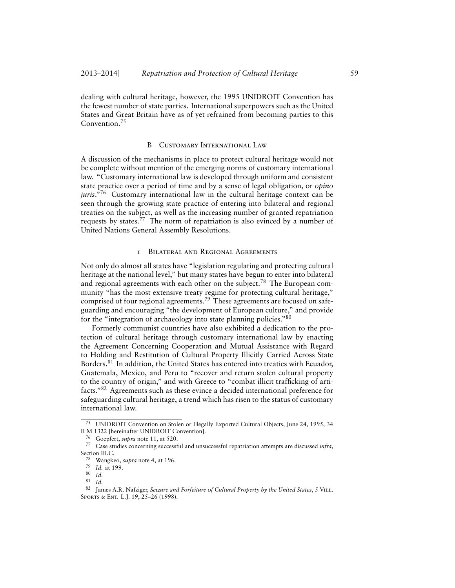dealing with cultural heritage, however, the 1995 UNIDROIT Convention has the fewest number of state parties. International superpowers such as the United States and Great Britain have as of yet refrained from becoming parties to this Convention.<sup>75</sup>

#### B Customary International Law

A discussion of the mechanisms in place to protect cultural heritage would not be complete without mention of the emerging norms of customary international law. "Customary international law is developed through uniform and consistent state practice over a period of time and by a sense of legal obligation, or *opino juris*."<sup>76</sup> Customary international law in the cultural heritage context can be seen through the growing state practice of entering into bilateral and regional treaties on the subject, as well as the increasing number of granted repatriation requests by states.<sup>77</sup> The norm of repatriation is also evinced by a number of United Nations General Assembly Resolutions.

#### 1 Bilateral and Regional Agreements

Not only do almost all states have "legislation regulating and protecting cultural heritage at the national level," but many states have begun to enter into bilateral and regional agreements with each other on the subject.<sup>78</sup> The European community "has the most extensive treaty regime for protecting cultural heritage," comprised of four regional agreements.<sup>79</sup> These agreements are focused on safeguarding and encouraging "the development of European culture," and provide for the "integration of archaeology into state planning policies."<sup>80</sup>

Formerly communist countries have also exhibited a dedication to the protection of cultural heritage through customary international law by enacting the Agreement Concerning Cooperation and Mutual Assistance with Regard to Holding and Restitution of Cultural Property Illicitly Carried Across State Borders.<sup>81</sup> In addition, the United States has entered into treaties with Ecuador, Guatemala, Mexico, and Peru to "recover and return stolen cultural property to the country of origin," and with Greece to "combat illicit trafficking of artifacts."<sup>82</sup> Agreements such as these evince a decided international preference for safeguarding cultural heritage, a trend which has risen to the status of customary international law.

<sup>75</sup> UNIDROIT Convention on Stolen or Illegally Exported Cultural Objects, June 24, 1995, 34 ILM 1322 [hereinafter UNIDROIT Convention].

<sup>76</sup> Goepfert, *supra* note 11, at 520.

<sup>77</sup> Case studies concerning successful and unsuccessful repatriation attempts are discussed *infra*, Section III.C.

<sup>78</sup> Wangkeo, *supra* note 4, at 196.

<sup>79</sup> *Id.* at 199.

 $\begin{array}{c} 80 \ 81 \ 1 \end{array}$  *Id.* 

<sup>81</sup> *Id.*

<sup>82</sup> James A.R. Nafziger, *Seizure and Forfeiture of Cultural Property by the United States*, 5 Vill. Sports & Ent. L.J. 19, 25–26 (1998).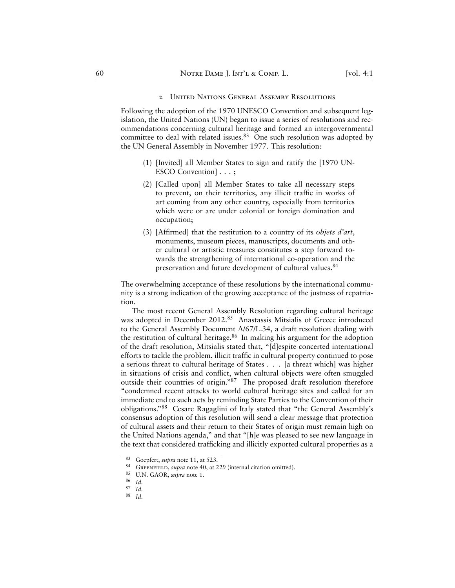#### 2 United Nations General Assemby Resolutions

Following the adoption of the 1970 UNESCO Convention and subsequent legislation, the United Nations (UN) began to issue a series of resolutions and recommendations concerning cultural heritage and formed an intergovernmental committee to deal with related issues.<sup>83</sup> One such resolution was adopted by the UN General Assembly in November 1977. This resolution:

- (1) [Invited] all Member States to sign and ratify the [1970 UN-ESCO Convention] . . . ;
- (2) [Called upon] all Member States to take all necessary steps to prevent, on their territories, any illicit traffic in works of art coming from any other country, especially from territories which were or are under colonial or foreign domination and occupation;
- (3) [Affirmed] that the restitution to a country of its *objets d'art*, monuments, museum pieces, manuscripts, documents and other cultural or artistic treasures constitutes a step forward towards the strengthening of international co-operation and the preservation and future development of cultural values.<sup>84</sup>

The overwhelming acceptance of these resolutions by the international community is a strong indication of the growing acceptance of the justness of repatriation.

The most recent General Assembly Resolution regarding cultural heritage was adopted in December 2012.<sup>85</sup> Anastassis Mitsialis of Greece introduced to the General Assembly Document A/67/L.34, a draft resolution dealing with the restitution of cultural heritage. $86$  In making his argument for the adoption of the draft resolution, Mitsialis stated that, "[d]espite concerted international efforts to tackle the problem, illicit traffic in cultural property continued to pose a serious threat to cultural heritage of States . . . [a threat which] was higher in situations of crisis and conflict, when cultural objects were often smuggled outside their countries of origin."<sup>87</sup> The proposed draft resolution therefore "condemned recent attacks to world cultural heritage sites and called for an immediate end to such acts by reminding State Parties to the Convention of their obligations."<sup>88</sup> Cesare Ragaglini of Italy stated that "the General Assembly's consensus adoption of this resolution will send a clear message that protection of cultural assets and their return to their States of origin must remain high on the United Nations agenda," and that "[h]e was pleased to see new language in the text that considered trafficking and illicitly exported cultural properties as a

 $^{83}$  Goepfert, *supra* note 11, at 523.

<sup>&</sup>lt;sup>84</sup> GREENFIELD, *supra* note 40, at 229 (internal citation omitted).<br><sup>85</sup> II N. GAOR *supra* note 1

U.N. GAOR, *supra* note 1.

<sup>86</sup> *Id.*

<sup>87</sup> *Id.*

<sup>88</sup> *Id.*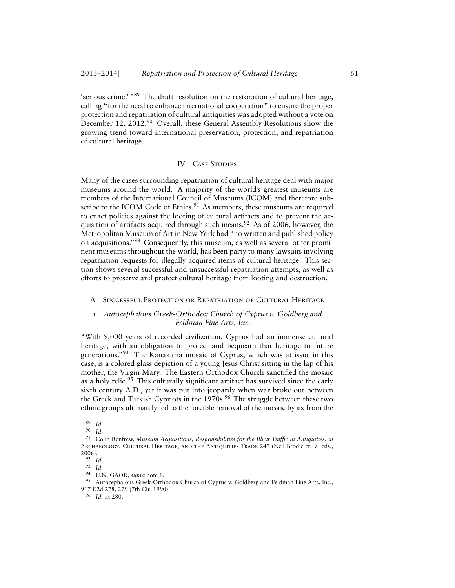'serious crime.' "<sup>89</sup> The draft resolution on the restoration of cultural heritage, calling "for the need to enhance international cooperation" to ensure the proper protection and repatriation of cultural antiquities was adopted without a vote on December 12, 2012.<sup>90</sup> Overall, these General Assembly Resolutions show the growing trend toward international preservation, protection, and repatriation of cultural heritage.

# IV CASE STUDIES

Many of the cases surrounding repatriation of cultural heritage deal with major museums around the world. A majority of the world's greatest museums are members of the International Council of Museums (ICOM) and therefore subscribe to the ICOM Code of Ethics. $91$  As members, these museums are required to enact policies against the looting of cultural artifacts and to prevent the acquisition of artifacts acquired through such means.<sup>92</sup> As of 2006, however, the Metropolitan Museum of Art in New York had "no written and published policy on acquisitions."<sup>93</sup> Consequently, this museum, as well as several other prominent museums throughout the world, has been party to many lawsuits involving repatriation requests for illegally acquired items of cultural heritage. This section shows several successful and unsuccessful repatriation attempts, as well as efforts to preserve and protect cultural heritage from looting and destruction.

#### SUCCESSFUL PROTECTION OR REPATRIATION OF CULTURAL HERITAGE

# 1 *Autocephalous Greek-Orthodox Church of Cyprus v. Goldberg and Feldman Fine Arts, Inc.*

"With 9,000 years of recorded civilization, Cyprus had an immense cultural heritage, with an obligation to protect and bequeath that heritage to future generations."<sup>94</sup> The Kanakaria mosaic of Cyprus, which was at issue in this case, is a colored glass depiction of a young Jesus Christ sitting in the lap of his mother, the Virgin Mary. The Eastern Orthodox Church sanctified the mosaic as a holy relic.<sup>95</sup> This culturally significant artifact has survived since the early sixth century A.D., yet it was put into jeopardy when war broke out between the Greek and Turkish Cypriots in the 1970s.<sup>96</sup> The struggle between these two ethnic groups ultimately led to the forcible removal of the mosaic by ax from the

 $\frac{89}{90}$  *Id.* 

*Id.* 

<sup>91</sup> Colin Renfrew, *Museum Acquisitions, Responsibilities for the Illicit Traffic in Antiquities*, *in* ARCHAEOLOGY, CULTURAL HERITAGE, AND THE ANTIQUITIES TRADE 247 (Neil Brodie et. al eds., 2006).

<sup>92</sup> *Id.*

<sup>93</sup> *Id.*

<sup>94</sup> U.N. GAOR, *supra* note 1.

<sup>95</sup> Autocephalous Greek-Orthodox Church of Cyprus v. Goldberg and Feldman Fine Arts, Inc., 917 F.2d 278, 279 (7th Cir. 1990).

<sup>96</sup> *Id.* at 280.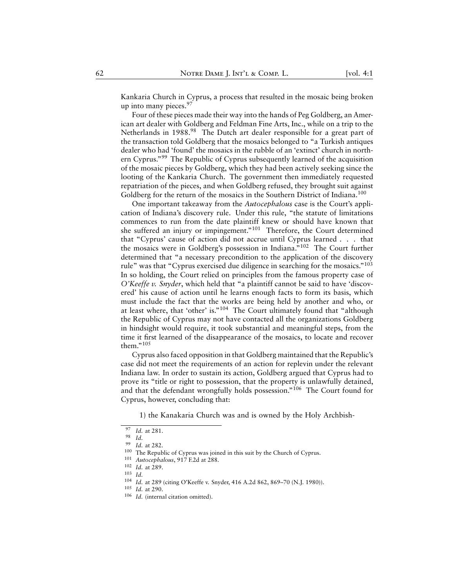Kankaria Church in Cyprus, a process that resulted in the mosaic being broken up into many pieces.<sup>97</sup>

Four of these pieces made their way into the hands of Peg Goldberg, an American art dealer with Goldberg and Feldman Fine Arts, Inc., while on a trip to the Netherlands in 1988.<sup>98</sup> The Dutch art dealer responsible for a great part of the transaction told Goldberg that the mosaics belonged to "a Turkish antiques dealer who had 'found' the mosaics in the rubble of an 'extinct' church in northern Cyprus."<sup>99</sup> The Republic of Cyprus subsequently learned of the acquisition of the mosaic pieces by Goldberg, which they had been actively seeking since the looting of the Kankaria Church. The government then immediately requested repatriation of the pieces, and when Goldberg refused, they brought suit against Goldberg for the return of the mosaics in the Southern District of Indiana.<sup>100</sup>

One important takeaway from the *Autocephalous* case is the Court's application of Indiana's discovery rule. Under this rule, "the statute of limitations commences to run from the date plaintiff knew or should have known that she suffered an injury or impingement."<sup>101</sup> Therefore, the Court determined that "Cyprus' cause of action did not accrue until Cyprus learned . . . that the mosaics were in Goldberg's possession in Indiana."<sup>102</sup> The Court further determined that "a necessary precondition to the application of the discovery rule" was that "Cyprus exercised due diligence in searching for the mosaics."<sup>103</sup> In so holding, the Court relied on principles from the famous property case of *O'Keeffe v. Snyder*, which held that "a plaintiff cannot be said to have 'discovered' his cause of action until he learns enough facts to form its basis, which must include the fact that the works are being held by another and who, or at least where, that 'other' is."<sup>104</sup> The Court ultimately found that "although the Republic of Cyprus may not have contacted all the organizations Goldberg in hindsight would require, it took substantial and meaningful steps, from the time it first learned of the disappearance of the mosaics, to locate and recover them." $105$ 

Cyprus also faced opposition in that Goldberg maintained that the Republic's case did not meet the requirements of an action for replevin under the relevant Indiana law. In order to sustain its action, Goldberg argued that Cyprus had to prove its "title or right to possession, that the property is unlawfully detained, and that the defendant wrongfully holds possession."<sup>106</sup> The Court found for Cyprus, however, concluding that:

1) the Kanakaria Church was and is owned by the Holy Archbish-

<sup>97</sup> *Id.* at 281.

*Id.* 

<sup>99</sup> *Id.* at 282.

<sup>100</sup> The Republic of Cyprus was joined in this suit by the Church of Cyprus.

<sup>101</sup> *Autocephalous*, 917 F.2d at 288.

<sup>102</sup> *Id.* at 289.

<sup>103</sup> *Id.*

<sup>104</sup> *Id.* at 289 (citing O'Keeffe v. Snyder, 416 A.2d 862, 869–70 (N.J. 1980)).

<sup>105</sup> *Id.* at 290.

<sup>106</sup> *Id.* (internal citation omitted).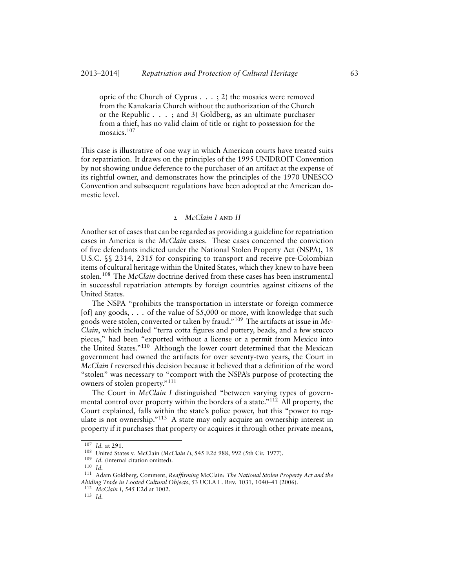opric of the Church of Cyprus . . . ; 2) the mosaics were removed from the Kanakaria Church without the authorization of the Church or the Republic . . . ; and 3) Goldberg, as an ultimate purchaser from a thief, has no valid claim of title or right to possession for the mosaics.<sup>107</sup>

This case is illustrative of one way in which American courts have treated suits for repatriation. It draws on the principles of the 1995 UNIDROIT Convention by not showing undue deference to the purchaser of an artifact at the expense of its rightful owner, and demonstrates how the principles of the 1970 UNESCO Convention and subsequent regulations have been adopted at the American domestic level.

#### 2 *McClain I* and *II*

Another set of cases that can be regarded as providing a guideline for repatriation cases in America is the *McClain* cases. These cases concerned the conviction of five defendants indicted under the National Stolen Property Act (NSPA), 18 U.S.C. §§ 2314, 2315 for conspiring to transport and receive pre-Colombian items of cultural heritage within the United States, which they knew to have been stolen.<sup>108</sup> The *McClain* doctrine derived from these cases has been instrumental in successful repatriation attempts by foreign countries against citizens of the United States.

The NSPA "prohibits the transportation in interstate or foreign commerce [of] any goods, . . . of the value of \$5,000 or more, with knowledge that such goods were stolen, converted or taken by fraud."<sup>109</sup> The artifacts at issue in *Mc-Clain*, which included "terra cotta figures and pottery, beads, and a few stucco pieces," had been "exported without a license or a permit from Mexico into the United States."<sup>110</sup> Although the lower court determined that the Mexican government had owned the artifacts for over seventy-two years, the Court in *McClain I* reversed this decision because it believed that a definition of the word "stolen" was necessary to "comport with the NSPA's purpose of protecting the owners of stolen property."<sup>111</sup>

The Court in *McClain I* distinguished "between varying types of governmental control over property within the borders of a state."<sup>112</sup> All property, the Court explained, falls within the state's police power, but this "power to regulate is not ownership."<sup>113</sup> A state may only acquire an ownership interest in property if it purchases that property or acquires it through other private means,

<sup>107</sup> *Id.* at 291.

<sup>108</sup> United States v. McClain (*McClain I*), 545 F.2d 988, 992 (5th Cir. 1977).

<sup>109</sup> *Id.* (internal citation omitted).

<sup>110</sup> *Id.*

<sup>111</sup> Adam Goldberg, Comment, *Reaffirming* McClain*: The National Stolen Property Act and the Abiding Trade in Looted Cultural Objects*, 53 UCLA L. Rev. 1031, 1040–41 (2006).

<sup>112</sup> *McClain I*, 545 F.2d at 1002.

<sup>113</sup> *Id.*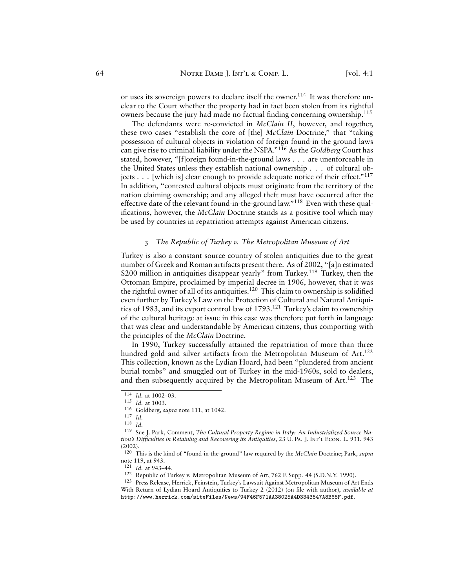or uses its sovereign powers to declare itself the owner.<sup>114</sup> It was therefore unclear to the Court whether the property had in fact been stolen from its rightful owners because the jury had made no factual finding concerning ownership.<sup>115</sup>

The defendants were re-convicted in *McClain II*, however, and together, these two cases "establish the core of [the] *McClain* Doctrine," that "taking possession of cultural objects in violation of foreign found-in the ground laws can give rise to criminal liability under the NSPA."<sup>116</sup> As the *Goldberg* Court has stated, however, "[f]oreign found-in-the-ground laws . . . are unenforceable in the United States unless they establish national ownership . . . of cultural objects . . . [which is] clear enough to provide adequate notice of their effect."<sup>117</sup> In addition, "contested cultural objects must originate from the territory of the nation claiming ownership; and any alleged theft must have occurred after the effective date of the relevant found-in-the-ground law."<sup>118</sup> Even with these qualifications, however, the *McClain* Doctrine stands as a positive tool which may be used by countries in repatriation attempts against American citizens.

#### 3 *The Republic of Turkey v. The Metropolitan Museum of Art*

Turkey is also a constant source country of stolen antiquities due to the great number of Greek and Roman artifacts present there. As of 2002, "[a]n estimated \$200 million in antiquities disappear yearly" from Turkey.<sup>119</sup> Turkey, then the Ottoman Empire, proclaimed by imperial decree in 1906, however, that it was the rightful owner of all of its antiquities.<sup>120</sup> This claim to ownership is solidified even further by Turkey's Law on the Protection of Cultural and Natural Antiquities of 1983, and its export control law of 1793.<sup>121</sup> Turkey's claim to ownership of the cultural heritage at issue in this case was therefore put forth in language that was clear and understandable by American citizens, thus comporting with the principles of the *McClain* Doctrine.

In 1990, Turkey successfully attained the repatriation of more than three hundred gold and silver artifacts from the Metropolitan Museum of Art.<sup>122</sup> This collection, known as the Lydian Hoard, had been "plundered from ancient burial tombs" and smuggled out of Turkey in the mid-1960s, sold to dealers, and then subsequently acquired by the Metropolitan Museum of Art.<sup>123</sup> The

 $\overline{114}$  *Id.* at 1002–03.

<sup>115</sup> *Id.* at 1003.

<sup>116</sup> Goldberg, *supra* note 111, at 1042.

<sup>117</sup> *Id.*

<sup>118</sup> *Id.*

<sup>119</sup> Sue J. Park, Comment, *The Cultural Property Regime in Italy: An Industrialized Source Nation's Difficulties in Retaining and Recovering its Antiquities*, 23 U. Pa. J. Int'l Econ. L. 931, 943 (2002).

<sup>120</sup> This is the kind of "found-in-the-ground" law required by the *McClain* Doctrine; Park, *supra* note 119, at 943.

<sup>121</sup> *Id.* at 943–44.

<sup>122</sup> Republic of Turkey v. Metropolitan Museum of Art, 762 F. Supp. 44 (S.D.N.Y. 1990).

<sup>123</sup> Press Release, Herrick, Feinstein, Turkey's Lawsuit Against Metropolitan Museum of Art Ends With Return of Lydian Hoard Antiquities to Turkey 2 (2012) (on file with author), *available at* <http://www.herrick.com/siteFiles/News/94F46F571AA38025A4D3343547A8B65F.pdf>.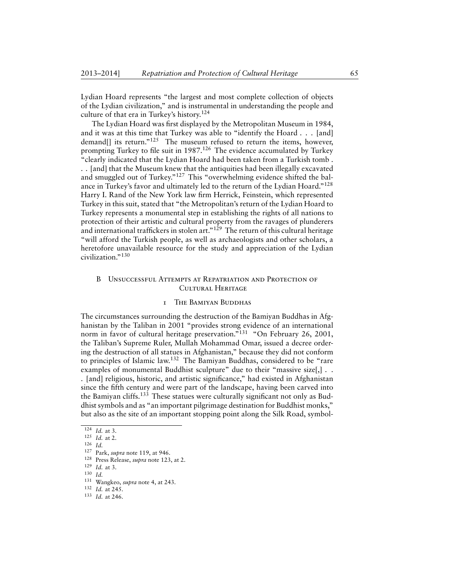Lydian Hoard represents "the largest and most complete collection of objects of the Lydian civilization," and is instrumental in understanding the people and culture of that era in Turkey's history.<sup>124</sup>

The Lydian Hoard was first displayed by the Metropolitan Museum in 1984, and it was at this time that Turkey was able to "identify the Hoard . . . [and] demand<sup>[]</sup> its return."<sup>125</sup> The museum refused to return the items, however, prompting Turkey to file suit in 1987.<sup>126</sup> The evidence accumulated by Turkey "clearly indicated that the Lydian Hoard had been taken from a Turkish tomb . . . [and] that the Museum knew that the antiquities had been illegally excavated and smuggled out of Turkey."<sup>127</sup> This "overwhelming evidence shifted the balance in Turkey's favor and ultimately led to the return of the Lydian Hoard."<sup>128</sup> Harry I. Rand of the New York law firm Herrick, Feinstein, which represented Turkey in this suit, stated that "the Metropolitan's return of the Lydian Hoard to Turkey represents a monumental step in establishing the rights of all nations to protection of their artistic and cultural property from the ravages of plunderers and international traffickers in stolen art."<sup>129</sup> The return of this cultural heritage "will afford the Turkish people, as well as archaeologists and other scholars, a heretofore unavailable resource for the study and appreciation of the Lydian civilization."<sup>130</sup>

# B Unsuccessful Attempts at Repatriation and Protection of Cultural Heritage

# 1 The Bamiyan Buddhas

The circumstances surrounding the destruction of the Bamiyan Buddhas in Afghanistan by the Taliban in 2001 "provides strong evidence of an international norm in favor of cultural heritage preservation."<sup>131</sup> "On February 26, 2001, the Taliban's Supreme Ruler, Mullah Mohammad Omar, issued a decree ordering the destruction of all statues in Afghanistan," because they did not conform to principles of Islamic law.<sup>132</sup> The Bamiyan Buddhas, considered to be "rare examples of monumental Buddhist sculpture" due to their "massive size[,] . .

. [and] religious, historic, and artistic significance," had existed in Afghanistan since the fifth century and were part of the landscape, having been carved into the Bamiyan cliffs.<sup>133</sup> These statues were culturally significant not only as Buddhist symbols and as "an important pilgrimage destination for Buddhist monks," but also as the site of an important stopping point along the Silk Road, symbol-

<sup>124</sup> *Id.* at 3.

<sup>125</sup> *Id.* at 2.

<sup>126</sup> *Id.*

<sup>127</sup> Park, *supra* note 119, at 946.

<sup>128</sup> Press Release, *supra* note 123, at 2.

<sup>129</sup> *Id.* at 3.

<sup>130</sup> *Id.*

<sup>131</sup> Wangkeo, *supra* note 4, at 243.

<sup>132</sup> *Id.* at 245.

<sup>133</sup> *Id.* at 246.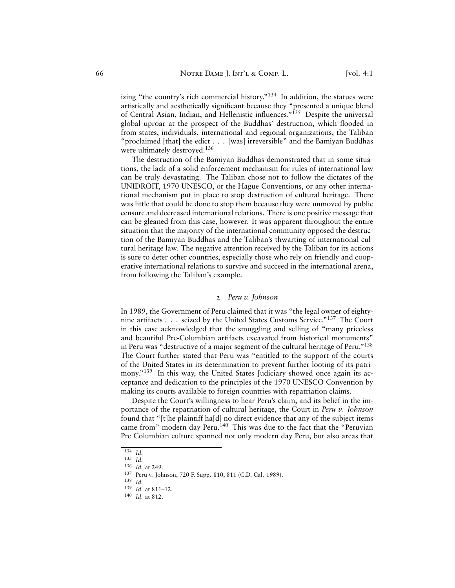izing "the country's rich commercial history."<sup>134</sup> In addition, the statues were artistically and aesthetically significant because they "presented a unique blend of Central Asian, Indian, and Hellenistic influences."<sup>135</sup> Despite the universal global uproar at the prospect of the Buddhas' destruction, which flooded in from states, individuals, international and regional organizations, the Taliban "proclaimed [that] the edict . . . [was] irreversible" and the Bamiyan Buddhas were ultimately destroyed.<sup>136</sup>

The destruction of the Bamiyan Buddhas demonstrated that in some situations, the lack of a solid enforcement mechanism for rules of international law can be truly devastating. The Taliban chose not to follow the dictates of the UNIDROIT, 1970 UNESCO, or the Hague Conventions, or any other international mechanism put in place to stop destruction of cultural heritage. There was little that could be done to stop them because they were unmoved by public censure and decreased international relations. There is one positive message that can be gleaned from this case, however. It was apparent throughout the entire situation that the majority of the international community opposed the destruction of the Bamiyan Buddhas and the Taliban's thwarting of international cultural heritage law. The negative attention received by the Taliban for its actions is sure to deter other countries, especially those who rely on friendly and cooperative international relations to survive and succeed in the international arena, from following the Taliban's example.

#### 2 *Peru v. Johnson*

In 1989, the Government of Peru claimed that it was "the legal owner of eightynine artifacts . . . seized by the United States Customs Service."<sup>137</sup> The Court in this case acknowledged that the smuggling and selling of "many priceless and beautiful Pre-Columbian artifacts excavated from historical monuments" in Peru was "destructive of a major segment of the cultural heritage of Peru."<sup>138</sup> The Court further stated that Peru was "entitled to the support of the courts of the United States in its determination to prevent further looting of its patrimony."<sup>139</sup> In this way, the United States Judiciary showed once again its acceptance and dedication to the principles of the 1970 UNESCO Convention by making its courts available to foreign countries with repatriation claims.

Despite the Court's willingness to hear Peru's claim, and its belief in the importance of the repatriation of cultural heritage, the Court in *Peru v. Johnson* found that "[t]he plaintiff ha[d] no direct evidence that any of the subject items came from" modern day Peru.<sup>140</sup> This was due to the fact that the "Peruvian Pre Columbian culture spanned not only modern day Peru, but also areas that

 $\overline{134}$  *Id.* 

<sup>135</sup> *Id.*

<sup>136</sup> *Id.* at 249.

<sup>137</sup> Peru v. Johnson, 720 F. Supp. 810, 811 (C.D. Cal. 1989).

<sup>138</sup> *Id.*

<sup>139</sup> *Id.* at 811–12.

<sup>140</sup> *Id.* at 812.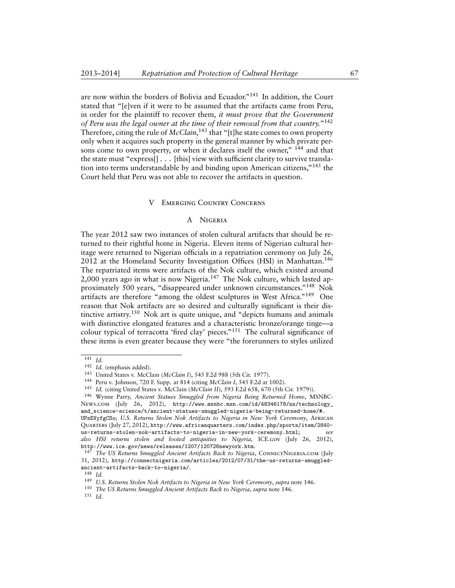are now within the borders of Bolivia and Ecuador."<sup>141</sup> In addition, the Court stated that "[e]ven if it were to be assumed that the artifacts came from Peru, in order for the plaintiff to recover them, *it must prove that the Government of Peru was the legal owner at the time of their removal from that country.*" 142 Therefore, citing the rule of *McClain*, <sup>143</sup> that "[t]he state comes to own property only when it acquires such property in the general manner by which private persons come to own property, or when it declares itself the owner," <sup>144</sup> and that the state must "express[] . . . [this] view with sufficient clarity to survive translation into terms understandable by and binding upon American citizens,"<sup>145</sup> the Court held that Peru was not able to recover the artifacts in question.

#### V Emerging Country Concerns

# A Nigeria

The year 2012 saw two instances of stolen cultural artifacts that should be returned to their rightful home in Nigeria. Eleven items of Nigerian cultural heritage were returned to Nigerian officials in a repatriation ceremony on July 26, 2012 at the Homeland Security Investigation Offices (HSI) in Manhattan.<sup>146</sup> The repatriated items were artifacts of the Nok culture, which existed around 2,000 years ago in what is now Nigeria.<sup>147</sup> The Nok culture, which lasted approximately 500 years, "disappeared under unknown circumstances."<sup>148</sup> Nok artifacts are therefore "among the oldest sculptures in West Africa."<sup>149</sup> One reason that Nok artifacts are so desired and culturally significant is their distinctive artistry.<sup>150</sup> Nok art is quite unique, and "depicts humans and animals with distinctive elongated features and a characteristic bronze/orange tinge—a colour typical of terracotta 'fired clay' pieces."<sup>151</sup> The cultural significance of these items is even greater because they were "the forerunners to styles utilized

<sup>151</sup> *Id.*

<sup>141</sup> *Id.*

<sup>142</sup> *Id.* (emphasis added).

<sup>143</sup> United States v. McClain (*McClain I*), 545 F.2d 988 (5th Cir. 1977).

<sup>144</sup> Peru v. Johnson, 720 F. Supp. at 814 (citing *McClain I*, 545 F.2d at 1002).

<sup>145</sup> *Id.* (citing United States v. McClain (*McClain II*), 593 F.2d 658, 670 (5th Cir. 1979)).

<sup>146</sup> Wynne Parry, *Ancient Statues Smuggled from Nigeria Being Returned Home*, MSNBC-News.com (July 26, 2012), [http://www.msnbc.msn.com/id/48346178/ns/technology\\_](http://www.msnbc.msn.com/id/48346178/ns/technology_and_science-science/t/ancient-statues-smuggled-nigeria-being-returned-home/#.UPzEVyfgCSo) [and\\_science-science/t/ancient-statues-smuggled-nigeria-being-returned-home/#.](http://www.msnbc.msn.com/id/48346178/ns/technology_and_science-science/t/ancient-statues-smuggled-nigeria-being-returned-home/#.UPzEVyfgCSo) [UPzEVyfgCSo](http://www.msnbc.msn.com/id/48346178/ns/technology_and_science-science/t/ancient-statues-smuggled-nigeria-being-returned-home/#.UPzEVyfgCSo); *U.S. Returns Stolen Nok Artifacts to Nigeria in New York Ceremony*, African Quarters (July 27, 2012), [http://www.africanquarters.com/index.php/sports/item/2840](http://www.africanquarters.com/index.php/sports/item/2840-us-returns-stolen-nok-artifacts-to-nigeria-in-new-york-ceremony.html) [us-returns-stolen-nok-artifacts-to-nigeria-in-new-york-ceremony.html](http://www.africanquarters.com/index.php/sports/item/2840-us-returns-stolen-nok-artifacts-to-nigeria-in-new-york-ceremony.html); *see also HSI returns stolen and looted antiquities to Nigeria*, ICE.gov (July 26, 2012), <http://www.ice.gov/news/releases/1207/120726newyork.htm>.

<sup>&</sup>lt;sup>147</sup> The US Returns Smuggled Ancient Artifacts Back to Nigeria, CONNECTNIGERIA.COM (July 31, 2012), [http://connectnigeria.com/articles/2012/07/31/the-us-returns-smuggled](http://connectnigeria.com/articles/2012/07/31/the-us-returns-smuggled-ancient-artifacts-back-to-nigeria/)[ancient-artifacts-back-to-nigeria/](http://connectnigeria.com/articles/2012/07/31/the-us-returns-smuggled-ancient-artifacts-back-to-nigeria/).

<sup>148</sup> *Id.*

<sup>149</sup> *U.S. Returns Stolen Nok Artifacts to Nigeria in New York Ceremony*, *supra* note 146.

<sup>150</sup> *The US Returns Smuggled Ancient Artifacts Back to Nigeria*, *supra* note 146.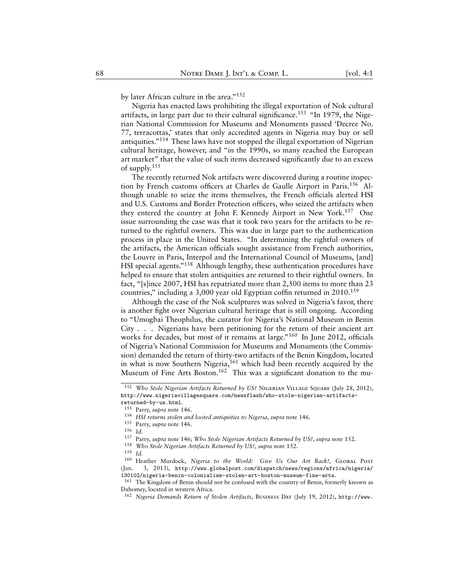by later African culture in the area."<sup>152</sup>

Nigeria has enacted laws prohibiting the illegal exportation of Nok cultural artifacts, in large part due to their cultural significance.<sup>153</sup> "In 1979, the Nigerian National Commission for Museums and Monuments passed 'Decree No. 77, terracottas,' states that only accredited agents in Nigeria may buy or sell antiquities."<sup>154</sup> These laws have not stopped the illegal exportation of Nigerian cultural heritage, however, and "in the 1990s, so many reached the European art market" that the value of such items decreased significantly due to an excess of supply.<sup>155</sup>

The recently returned Nok artifacts were discovered during a routine inspection by French customs officers at Charles de Gaulle Airport in Paris.<sup>156</sup> Although unable to seize the items themselves, the French officials alerted HSI and U.S. Customs and Border Protection officers, who seized the artifacts when they entered the country at John F. Kennedy Airport in New York.<sup>157</sup> One issue surrounding the case was that it took two years for the artifacts to be returned to the rightful owners. This was due in large part to the authentication process in place in the United States. "In determining the rightful owners of the artifacts, the American officials sought assistance from French authorities, the Louvre in Paris, Interpol and the International Council of Museums, [and] HSI special agents."<sup>158</sup> Although lengthy, these authentication procedures have helped to ensure that stolen antiquities are returned to their rightful owners. In fact, "[s]ince 2007, HSI has repatriated more than 2,500 items to more than 23 countries," including a 3,000 year old Egyptian coffin returned in 2010.<sup>159</sup>

Although the case of the Nok sculptures was solved in Nigeria's favor, there is another fight over Nigerian cultural heritage that is still ongoing. According to "Umogbai Theophilus, the curator for Nigeria's National Museum in Benin City . . . Nigerians have been petitioning for the return of their ancient art works for decades, but most of it remains at large."<sup>160</sup> In June 2012, officials of Nigeria's National Commission for Museums and Monuments (the Commission) demanded the return of thirty-two artifacts of the Benin Kingdom, located in what is now Southern Nigeria,<sup>161</sup> which had been recently acquired by the Museum of Fine Arts Boston.<sup>162</sup> This was a significant donation to the mu-

<sup>&</sup>lt;sup>152</sup> *Who Stole Nigerian Artifacts Returned by US? NIGERIAN VILLAGE SQUARE (July 28, 2012),* [http://www.nigeriavillagesquare.com/newsflash/who-stole-nigerian-artifacts](http://www.nigeriavillagesquare.com/newsflash/who-stole-nigerian-artifacts-returned-by-us.html)[returned-by-us.html](http://www.nigeriavillagesquare.com/newsflash/who-stole-nigerian-artifacts-returned-by-us.html).

<sup>153</sup> Parry, *supra* note 146.

<sup>154</sup> *HSI returns stolen and looted antiquities to Nigeria*, *supra* note 146.

<sup>155</sup> Parry, *supra* note 146.

<sup>156</sup> *Id.*

<sup>157</sup> Parry, *supra* note 146; *Who Stole Nigerian Artifacts Returned by US?*, *supra* note 152.

<sup>158</sup> *Who Stole Nigerian Artifacts Returned by US?*, *supra* note 152.

<sup>159</sup> *Id.*

<sup>&</sup>lt;sup>160</sup> Heather Murdock, Nigeria to the World: Give Us Our Art Back!, GLOBAL POST (Jan. 3, 2013), [http://www.globalpost.com/dispatch/news/regions/africa/nigeria/](http://www.globalpost.com/dispatch/news/regions/africa/nigeria/130102/nigeria-benin-colonialism-stolen-art-boston-museum-fine-arts) [130102/nigeria-benin-colonialism-stolen-art-boston-museum-fine-arts](http://www.globalpost.com/dispatch/news/regions/africa/nigeria/130102/nigeria-benin-colonialism-stolen-art-boston-museum-fine-arts).

<sup>&</sup>lt;sup>161</sup> The Kingdom of Benin should not be confused with the country of Benin, formerly known as Dahomey, located in western Africa.

<sup>162</sup> *Nigeria Demands Return of Stolen Artifacts*, Business Day (July 19, 2012), [http://www.](http://www.businessdayonline.com/NG/index.php/art-a-life/41483-nigeria-demands-return-of-stolen-artifacts)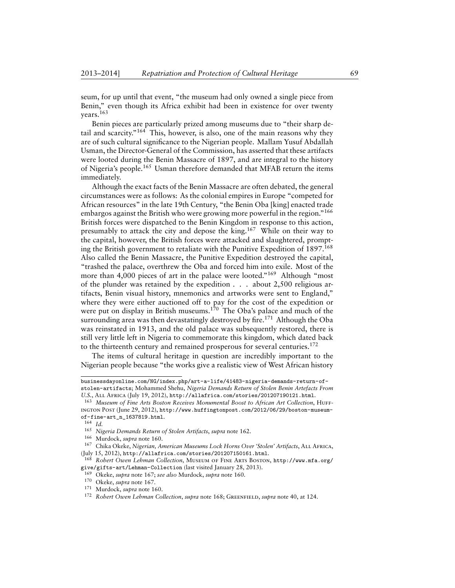[seum, for up until that event, "the museum had only owned a single piece from](http://www.businessdayonline.com/NG/index.php/art-a-life/41483-nigeria-demands-return-of-stolen-artifacts) [Benin," even though its Africa exhibit had been in existence for over twenty](http://www.businessdayonline.com/NG/index.php/art-a-life/41483-nigeria-demands-return-of-stolen-artifacts) [years.](http://www.businessdayonline.com/NG/index.php/art-a-life/41483-nigeria-demands-return-of-stolen-artifacts)<sup>163</sup>

[Benin pieces are particularly prized among museums due to "their sharp de](http://www.businessdayonline.com/NG/index.php/art-a-life/41483-nigeria-demands-return-of-stolen-artifacts)tail and scarcity." $164$  [This, however, is also, one of the main reasons why they](http://www.businessdayonline.com/NG/index.php/art-a-life/41483-nigeria-demands-return-of-stolen-artifacts) [are of such cultural significance to the Nigerian people. Mallam Yusuf Abdallah](http://www.businessdayonline.com/NG/index.php/art-a-life/41483-nigeria-demands-return-of-stolen-artifacts) [Usman, the Director-General of the Commission, has asserted that these artifacts](http://www.businessdayonline.com/NG/index.php/art-a-life/41483-nigeria-demands-return-of-stolen-artifacts) [were looted during the Benin Massacre of 1897, and are integral to the history](http://www.businessdayonline.com/NG/index.php/art-a-life/41483-nigeria-demands-return-of-stolen-artifacts) of Nigeria's people.<sup>165</sup> [Usman therefore demanded that MFAB return the items](http://www.businessdayonline.com/NG/index.php/art-a-life/41483-nigeria-demands-return-of-stolen-artifacts) [immediately.](http://www.businessdayonline.com/NG/index.php/art-a-life/41483-nigeria-demands-return-of-stolen-artifacts)

[Although the exact facts of the Benin Massacre are often debated, the general](http://www.businessdayonline.com/NG/index.php/art-a-life/41483-nigeria-demands-return-of-stolen-artifacts) [circumstances were as follows: As the colonial empires in Europe "competed for](http://www.businessdayonline.com/NG/index.php/art-a-life/41483-nigeria-demands-return-of-stolen-artifacts) [African resources" in the late 19th Century, "the Benin Oba \[king\] enacted trade](http://www.businessdayonline.com/NG/index.php/art-a-life/41483-nigeria-demands-return-of-stolen-artifacts) [embargos against the British who were growing more powerful in the region."](http://www.businessdayonline.com/NG/index.php/art-a-life/41483-nigeria-demands-return-of-stolen-artifacts)<sup>166</sup> [British forces were dispatched to the Benin Kingdom in response to this action,](http://www.businessdayonline.com/NG/index.php/art-a-life/41483-nigeria-demands-return-of-stolen-artifacts) [presumably to attack the city and depose the king.](http://www.businessdayonline.com/NG/index.php/art-a-life/41483-nigeria-demands-return-of-stolen-artifacts)<sup>167</sup> While on their way to [the capital, however, the British forces were attacked and slaughtered, prompt](http://www.businessdayonline.com/NG/index.php/art-a-life/41483-nigeria-demands-return-of-stolen-artifacts)[ing the British government to retaliate with the Punitive Expedition of 1897.](http://www.businessdayonline.com/NG/index.php/art-a-life/41483-nigeria-demands-return-of-stolen-artifacts)<sup>168</sup> [Also called the Benin Massacre, the Punitive Expedition destroyed the capital,](http://www.businessdayonline.com/NG/index.php/art-a-life/41483-nigeria-demands-return-of-stolen-artifacts) ["trashed the palace, overthrew the Oba and forced him into exile. Most of the](http://www.businessdayonline.com/NG/index.php/art-a-life/41483-nigeria-demands-return-of-stolen-artifacts) [more than 4,000 pieces of art in the palace were looted."](http://www.businessdayonline.com/NG/index.php/art-a-life/41483-nigeria-demands-return-of-stolen-artifacts)<sup>169</sup> Although "most [of the plunder was retained by the expedition . . . about 2,500 religious ar](http://www.businessdayonline.com/NG/index.php/art-a-life/41483-nigeria-demands-return-of-stolen-artifacts)[tifacts, Benin visual history, mnemonics and artworks were sent to England,"](http://www.businessdayonline.com/NG/index.php/art-a-life/41483-nigeria-demands-return-of-stolen-artifacts) [where they were either auctioned off to pay for the cost of the expedition or](http://www.businessdayonline.com/NG/index.php/art-a-life/41483-nigeria-demands-return-of-stolen-artifacts) [were put on display in British museums.](http://www.businessdayonline.com/NG/index.php/art-a-life/41483-nigeria-demands-return-of-stolen-artifacts)<sup>170</sup> The Oba's palace and much of the [surrounding area was then devastatingly destroyed by fire.](http://www.businessdayonline.com/NG/index.php/art-a-life/41483-nigeria-demands-return-of-stolen-artifacts)<sup>171</sup> Although the Oba [was reinstated in 1913, and the old palace was subsequently restored, there is](http://www.businessdayonline.com/NG/index.php/art-a-life/41483-nigeria-demands-return-of-stolen-artifacts) [still very little left in Nigeria to commemorate this kingdom, which dated back](http://www.businessdayonline.com/NG/index.php/art-a-life/41483-nigeria-demands-return-of-stolen-artifacts) [to the thirteenth century and remained prosperous for several centuries.](http://www.businessdayonline.com/NG/index.php/art-a-life/41483-nigeria-demands-return-of-stolen-artifacts)<sup>172</sup>

[The items of cultural heritage in question are incredibly important to the](http://www.businessdayonline.com/NG/index.php/art-a-life/41483-nigeria-demands-return-of-stolen-artifacts) [Nigerian people because "the works give a realistic view of West African history](http://www.businessdayonline.com/NG/index.php/art-a-life/41483-nigeria-demands-return-of-stolen-artifacts)

[businessdayonline.com/NG/index.php/art-a-life/41483-nigeria-demands-return-of](http://www.businessdayonline.com/NG/index.php/art-a-life/41483-nigeria-demands-return-of-stolen-artifacts)[stolen-artifacts](http://www.businessdayonline.com/NG/index.php/art-a-life/41483-nigeria-demands-return-of-stolen-artifacts); Mohammed Shehu, *Nigeria Demands Return of Stolen Benin Artefacts From U.S.*, All Africa (July 19, 2012), <http://allafrica.com/stories/201207190121.html>.

<sup>&</sup>lt;sup>163</sup> Museum of Fine Arts Boston Receives Monumental Boost to African Art Collection, HUFFington Post (June 29, 2012), [http://www.huffingtonpost.com/2012/06/29/boston-museum-](http://www.huffingtonpost.com/2012/06/29/boston-museum-of-fine-art_n_1637819.html)

[of-fine-art\\_n\\_1637819.html](http://www.huffingtonpost.com/2012/06/29/boston-museum-of-fine-art_n_1637819.html). <sup>164</sup> *Id.*

<sup>165</sup> *Nigeria Demands Return of Stolen Artifacts*, *supra* note 162.

<sup>166</sup> Murdock, *supra* note 160.

<sup>167</sup> Chika Okeke, *Nigerian, American Museums Lock Horns Over 'Stolen' Artifacts*, All Africa, (July 15, 2012), <http://allafrica.com/stories/201207150161.html>.

<sup>168</sup> *Robert Owen Lehman Collection*, Museum of Fine Arts Boston, [http://www.mfa.org/](http://www.mfa.org/give/gifts-art/Lehman-Collection) [give/gifts-art/Lehman-Collection](http://www.mfa.org/give/gifts-art/Lehman-Collection) (last visited January 28, 2013).

<sup>169</sup> Okeke, *supra* note 167; *see also* Murdock, *supra* note 160.

<sup>170</sup> Okeke, *supra* note 167.

<sup>171</sup> Murdock, *supra* note 160.

<sup>172</sup> *Robert Owen Lehman Collection*, *supra* note 168; Greenfield, *supra* note 40, at 124.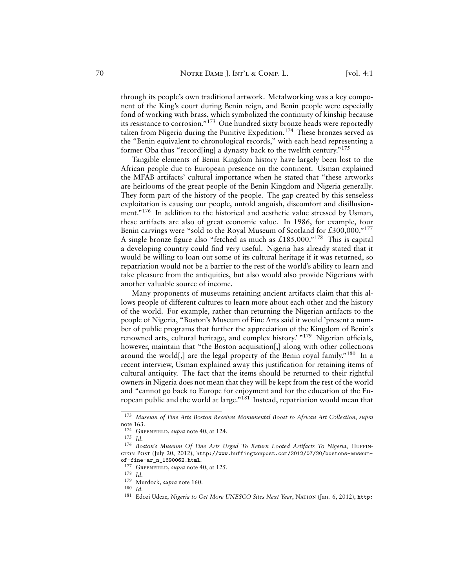through its people's own traditional artwork. Metalworking was a key component of the King's court during Benin reign, and Benin people were especially fond of working with brass, which symbolized the continuity of kinship because its resistance to corrosion."<sup>173</sup> One hundred sixty bronze heads were reportedly taken from Nigeria during the Punitive Expedition.<sup>174</sup> These bronzes served as the "Benin equivalent to chronological records," with each head representing a former Oba thus "record[ing] a dynasty back to the twelfth century."<sup>175</sup>

Tangible elements of Benin Kingdom history have largely been lost to the African people due to European presence on the continent. Usman explained the MFAB artifacts' cultural importance when he stated that "these artworks are heirlooms of the great people of the Benin Kingdom and Nigeria generally. They form part of the history of the people. The gap created by this senseless exploitation is causing our people, untold anguish, discomfort and disillusionment."<sup>176</sup> In addition to the historical and aesthetic value stressed by Usman, these artifacts are also of great economic value. In 1986, for example, four Benin carvings were "sold to the Royal Museum of Scotland for  $£300,000.^{177}$ A single bronze figure also "fetched as much as  $£185,000.^{178}$  This is capital a developing country could find very useful. Nigeria has already stated that it would be willing to loan out some of its cultural heritage if it was returned, so repatriation would not be a barrier to the rest of the world's ability to learn and take pleasure from the antiquities, but also would also provide Nigerians with another valuable source of income.

Many proponents of museums retaining ancient artifacts claim that this allows people of different cultures to learn more about each other and the history of the world. For example, rather than returning the Nigerian artifacts to the people of Nigeria, "Boston's Museum of Fine Arts said it would 'present a number of public programs that further the appreciation of the Kingdom of Benin's renowned arts, cultural heritage, and complex history.<sup>' "179</sup> Nigerian officials, however, maintain that "the Boston acquisition<sup>[1]</sup>, along with other collections around the world[,] are the legal property of the Benin royal family."<sup>180</sup> In a recent interview, Usman explained away this justification for retaining items of cultural antiquity. The fact that the items should be returned to their rightful owners in Nigeria does not mean that they will be kept from the rest of the world and "cannot go back to Europe for enjoyment and for the education of the European public and the world at large."<sup>181</sup> Instead, repatriation would mean that

<sup>173</sup> *Museum of Fine Arts Boston Receives Monumental Boost to African Art Collection*, *supra* note 163.

<sup>&</sup>lt;sup>174</sup> GREENFIELD, *supra* note 40, at 124.

<sup>175</sup> *Id.*

<sup>&</sup>lt;sup>176</sup> Boston's Museum Of Fine Arts Urged To Return Looted Artifacts To Nigeria, HUFFINgton Post (July 20, 2012), [http://www.huffingtonpost.com/2012/07/20/bostons-museum](http://www.huffingtonpost.com/2012/07/20/bostons-museum-of-fine-ar_n_1690062.html)[of-fine-ar\\_n\\_1690062.html](http://www.huffingtonpost.com/2012/07/20/bostons-museum-of-fine-ar_n_1690062.html).

<sup>177</sup> Greenfield, *supra* note 40, at 125.

<sup>178</sup> *Id.*

<sup>179</sup> Murdock, *supra* note 160.

<sup>180</sup> *Id.*

<sup>&</sup>lt;sup>181</sup> Edozi Udeze, *Nigeria to Get More UNESCO Sites Next Year*, NATION (Jan. 6, 2012), [http:](http://thenationonlineng.net/new/arts/nigeria-to-get-more-unesco-sites-next-year/)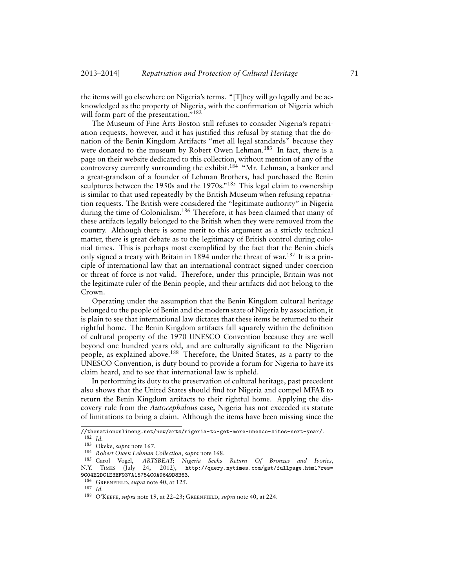[the items will go elsewhere on Nigeria's terms. "\[T\]hey will go legally and be ac](http://thenationonlineng.net/new/arts/nigeria-to-get-more-unesco-sites-next-year/)[knowledged as the property of Nigeria, with the confirmation of Nigeria which](http://thenationonlineng.net/new/arts/nigeria-to-get-more-unesco-sites-next-year/) [will form part of the presentation."](http://thenationonlineng.net/new/arts/nigeria-to-get-more-unesco-sites-next-year/)<sup>182</sup>

[The Museum of Fine Arts Boston still refuses to consider Nigeria's repatri](http://thenationonlineng.net/new/arts/nigeria-to-get-more-unesco-sites-next-year/)[ation requests, however, and it has justified this refusal by stating that the do](http://thenationonlineng.net/new/arts/nigeria-to-get-more-unesco-sites-next-year/)[nation of the Benin Kingdom Artifacts "met all legal standards" because they](http://thenationonlineng.net/new/arts/nigeria-to-get-more-unesco-sites-next-year/) [were donated to the museum by Robert Owen Lehman.](http://thenationonlineng.net/new/arts/nigeria-to-get-more-unesco-sites-next-year/)<sup>183</sup> In fact, there is a [page on their website dedicated to this collection, without mention of any of the](http://thenationonlineng.net/new/arts/nigeria-to-get-more-unesco-sites-next-year/) [controversy currently surrounding the exhibit.](http://thenationonlineng.net/new/arts/nigeria-to-get-more-unesco-sites-next-year/)<sup>184</sup> "Mr. Lehman, a banker and [a great-grandson of a founder of Lehman Brothers, had purchased the Benin](http://thenationonlineng.net/new/arts/nigeria-to-get-more-unesco-sites-next-year/) [sculptures between the 1950s and the 1970s."](http://thenationonlineng.net/new/arts/nigeria-to-get-more-unesco-sites-next-year/)<sup>185</sup> This legal claim to ownership [is similar to that used repeatedly by the British Museum when refusing repatria](http://thenationonlineng.net/new/arts/nigeria-to-get-more-unesco-sites-next-year/)[tion requests. The British were considered the "legitimate authority" in Nigeria](http://thenationonlineng.net/new/arts/nigeria-to-get-more-unesco-sites-next-year/) during the time of Colonialism.<sup>186</sup> [Therefore, it has been claimed that many of](http://thenationonlineng.net/new/arts/nigeria-to-get-more-unesco-sites-next-year/) [these artifacts legally belonged to the British when they were removed from the](http://thenationonlineng.net/new/arts/nigeria-to-get-more-unesco-sites-next-year/) [country. Although there is some merit to this argument as a strictly technical](http://thenationonlineng.net/new/arts/nigeria-to-get-more-unesco-sites-next-year/) [matter, there is great debate as to the legitimacy of British control during colo](http://thenationonlineng.net/new/arts/nigeria-to-get-more-unesco-sites-next-year/)[nial times. This is perhaps most exemplified by the fact that the Benin chiefs](http://thenationonlineng.net/new/arts/nigeria-to-get-more-unesco-sites-next-year/) [only signed a treaty with Britain in 1894 under the threat of war.](http://thenationonlineng.net/new/arts/nigeria-to-get-more-unesco-sites-next-year/)<sup>187</sup> It is a prin[ciple of international law that an international contract signed under coercion](http://thenationonlineng.net/new/arts/nigeria-to-get-more-unesco-sites-next-year/) [or threat of force is not valid. Therefore, under this principle, Britain was not](http://thenationonlineng.net/new/arts/nigeria-to-get-more-unesco-sites-next-year/) [the legitimate ruler of the Benin people, and their artifacts did not belong to the](http://thenationonlineng.net/new/arts/nigeria-to-get-more-unesco-sites-next-year/) [Crown.](http://thenationonlineng.net/new/arts/nigeria-to-get-more-unesco-sites-next-year/)

[Operating under the assumption that the Benin Kingdom cultural heritage](http://thenationonlineng.net/new/arts/nigeria-to-get-more-unesco-sites-next-year/) [belonged to the people of Benin and the modern state of Nigeria by association, it](http://thenationonlineng.net/new/arts/nigeria-to-get-more-unesco-sites-next-year/) [is plain to see that international law dictates that these items be returned to their](http://thenationonlineng.net/new/arts/nigeria-to-get-more-unesco-sites-next-year/) [rightful home. The Benin Kingdom artifacts fall squarely within the definition](http://thenationonlineng.net/new/arts/nigeria-to-get-more-unesco-sites-next-year/) [of cultural property of the 1970 UNESCO Convention because they are well](http://thenationonlineng.net/new/arts/nigeria-to-get-more-unesco-sites-next-year/) [beyond one hundred years old, and are culturally significant to the Nigerian](http://thenationonlineng.net/new/arts/nigeria-to-get-more-unesco-sites-next-year/) people, as explained above.<sup>188</sup> [Therefore, the United States, as a party to the](http://thenationonlineng.net/new/arts/nigeria-to-get-more-unesco-sites-next-year/) [UNESCO Convention, is duty bound to provide a forum for Nigeria to have its](http://thenationonlineng.net/new/arts/nigeria-to-get-more-unesco-sites-next-year/) [claim heard, and to see that international law is upheld.](http://thenationonlineng.net/new/arts/nigeria-to-get-more-unesco-sites-next-year/)

[In performing its duty to the preservation of cultural heritage, past precedent](http://thenationonlineng.net/new/arts/nigeria-to-get-more-unesco-sites-next-year/) [also shows that the United States should find for Nigeria and compel MFAB to](http://thenationonlineng.net/new/arts/nigeria-to-get-more-unesco-sites-next-year/) [return the Benin Kingdom artifacts to their rightful home. Applying the dis](http://thenationonlineng.net/new/arts/nigeria-to-get-more-unesco-sites-next-year/)covery rule from the *Autocephalous* [case, Nigeria has not exceeded its statute](http://thenationonlineng.net/new/arts/nigeria-to-get-more-unesco-sites-next-year/) [of limitations to bring a claim. Although the items have been missing since the](http://thenationonlineng.net/new/arts/nigeria-to-get-more-unesco-sites-next-year/)

[<sup>//</sup>thenationonlineng.net/new/arts/nigeria-to-get-more-unesco-sites-next-year/](http://thenationonlineng.net/new/arts/nigeria-to-get-more-unesco-sites-next-year/). <sup>182</sup> *Id.*

<sup>183</sup> Okeke, *supra* note 167.

<sup>184</sup> *Robert Owen Lehman Collection*, *supra* note 168.

<sup>185</sup> Carol Vogel, *ARTSBEAT; Nigeria Seeks Return Of Bronzes and Ivories*, N.Y. Times (July 24, 2012), [http://query.nytimes.com/gst/fullpage.html?res=](http://query.nytimes.com/gst/fullpage.html?res=9C04E2DC1E3EF937A15754C0A9649D8B63) [9C04E2DC1E3EF937A15754C0A9649D8B63](http://query.nytimes.com/gst/fullpage.html?res=9C04E2DC1E3EF937A15754C0A9649D8B63).

<sup>186</sup> Greenfield, *supra* note 40, at 125.

<sup>187</sup> *Id.*

<sup>188</sup> O'Keefe, *supra* note 19, at 22–23; Greenfield, *supra* note 40, at 224.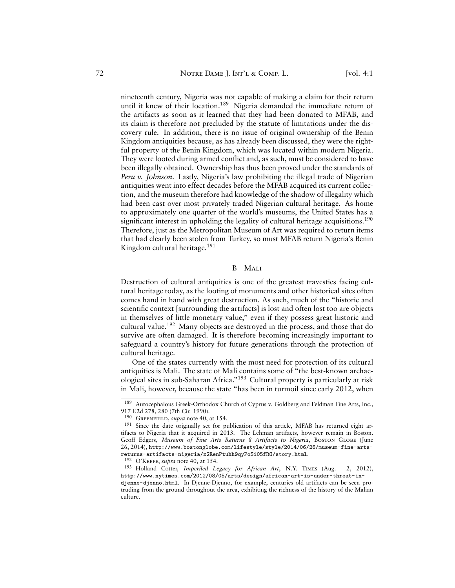nineteenth century, Nigeria was not capable of making a claim for their return until it knew of their location.<sup>189</sup> Nigeria demanded the immediate return of the artifacts as soon as it learned that they had been donated to MFAB, and its claim is therefore not precluded by the statute of limitations under the discovery rule. In addition, there is no issue of original ownership of the Benin Kingdom antiquities because, as has already been discussed, they were the rightful property of the Benin Kingdom, which was located within modern Nigeria. They were looted during armed conflict and, as such, must be considered to have been illegally obtained. Ownership has thus been proved under the standards of *Peru v. Johnson*. Lastly, Nigeria's law prohibiting the illegal trade of Nigerian antiquities went into effect decades before the MFAB acquired its current collection, and the museum therefore had knowledge of the shadow of illegality which had been cast over most privately traded Nigerian cultural heritage. As home to approximately one quarter of the world's museums, the United States has a significant interest in upholding the legality of cultural heritage acquisitions.<sup>190</sup> Therefore, just as the Metropolitan Museum of Art was required to return items that had clearly been stolen from Turkey, so must MFAB return Nigeria's Benin Kingdom cultural heritage.<sup>191</sup>

#### B Mali

Destruction of cultural antiquities is one of the greatest travesties facing cultural heritage today, as the looting of monuments and other historical sites often comes hand in hand with great destruction. As such, much of the "historic and scientific context [surrounding the artifacts] is lost and often lost too are objects in themselves of little monetary value," even if they possess great historic and cultural value.<sup>192</sup> Many objects are destroyed in the process, and those that do survive are often damaged. It is therefore becoming increasingly important to safeguard a country's history for future generations through the protection of cultural heritage.

One of the states currently with the most need for protection of its cultural antiquities is Mali. The state of Mali contains some of "the best-known archaeological sites in sub-Saharan Africa."<sup>193</sup> Cultural property is particularly at risk in Mali, however, because the state "has been in turmoil since early 2012, when

<sup>189</sup> Autocephalous Greek-Orthodox Church of Cyprus v. Goldberg and Feldman Fine Arts, Inc., 917 F.2d 278, 280 (7th Cir. 1990).

<sup>190</sup> Greenfield, *supra* note 40, at 154.

 $191$  Since the date originally set for publication of this article, MFAB has returned eight artifacts to Nigeria that it acquired in 2013. The Lehman artifacts, however remain in Boston. Geoff Edgers, *Museum of Fine Arts Returns 8 Artifacts to Nigeria*, Boston Globe (June 26, 2014), [http://www.bostonglobe.com/lifestyle/style/2014/06/26/museum-fine-arts](http://www.bostonglobe.com/lifestyle/style/2014/06/26/museum-fine-arts-returns-artifacts-nigeria/z2RenPtuhh9qyPoSi05fRO/story.html)[returns-artifacts-nigeria/z2RenPtuhh9qyPoSi05fRO/story.html](http://www.bostonglobe.com/lifestyle/style/2014/06/26/museum-fine-arts-returns-artifacts-nigeria/z2RenPtuhh9qyPoSi05fRO/story.html).

<sup>192</sup> O'Keefe, *supra* note 40, at 154.

<sup>193</sup> Holland Cotter, *Imperiled Legacy for African Art*, N.Y. Times (Aug. 2, 2012), [http://www.nytimes.com/2012/08/05/arts/design/african-art-is-under-threat-in-](http://www.nytimes.com/2012/08/05/arts/design/african-art-is-under-threat-in-djenne-djenno.html)

[djenne-djenno.html](http://www.nytimes.com/2012/08/05/arts/design/african-art-is-under-threat-in-djenne-djenno.html). In Djenne-Djenno, for example, centuries old artifacts can be seen protruding from the ground throughout the area, exhibiting the richness of the history of the Malian culture.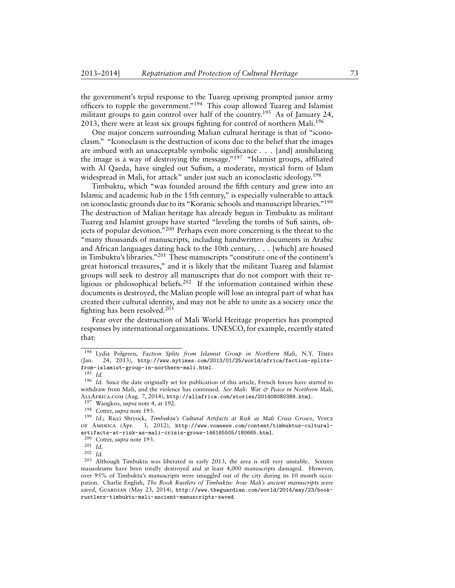the government's tepid response to the Tuareg uprising prompted junior army officers to topple the government."<sup>194</sup> This coup allowed Tuareg and Islamist militant groups to gain control over half of the country.<sup>195</sup> As of January 24, 2013, there were at least six groups fighting for control of northern Mali.<sup>196</sup>

One major concern surrounding Malian cultural heritage is that of "iconoclasm." "Iconoclasm is the destruction of icons due to the belief that the images are imbued with an unacceptable symbolic significance . . . [and] annihilating the image is a way of destroying the message."<sup>197</sup> "Islamist groups, affiliated with Al Qaeda, have singled out Sufism, a moderate, mystical form of Islam widespread in Mali, for attack" under just such an iconoclastic ideology.<sup>198</sup>

Timbuktu, which "was founded around the fifth century and grew into an Islamic and academic hub in the 15th century," is especially vulnerable to attack on iconoclastic grounds due to its "Koranic schools and manuscript libraries."<sup>199</sup> The destruction of Malian heritage has already begun in Timbuktu as militant Tuareg and Islamist groups have started "leveling the tombs of Sufi saints, objects of popular devotion."<sup>200</sup> Perhaps even more concerning is the threat to the "many thousands of manuscripts, including handwritten documents in Arabic and African languages dating back to the 10th century, . . . [which] are housed in Timbuktu's libraries."<sup>201</sup> These manuscripts "constitute one of the continent's great historical treasures," and it is likely that the militant Tuareg and Islamist groups will seek to destroy all manuscripts that do not comport with their religious or philosophical beliefs.<sup>202</sup> If the information contained within these documents is destroyed, the Malian people will lose an integral part of what has created their cultural identity, and may not be able to unite as a society once the fighting has been resolved.<sup>203</sup>

Fear over the destruction of Mali World Heritage properties has prompted responses by international organizations. UNESCO, for example, recently stated that:

<sup>194</sup> Lydia Polgreen, *Faction Splits from Islamist Group in Northern Mali*, N.Y. Times (Jan. 24, 2013), [http://www.nytimes.com/2013/01/25/world/africa/faction-splits](http://www.nytimes.com/2013/01/25/world/africa/faction-splits-from-islamist-group-in-northern-mali.html)[from-islamist-group-in-northern-mali.html](http://www.nytimes.com/2013/01/25/world/africa/faction-splits-from-islamist-group-in-northern-mali.html).

<sup>195</sup> *Id.*

<sup>196</sup> *Id.* Since the date originally set for publication of this article, French forces have started to withdraw from Mali, and the violence has continued. *See Mali: War & Peace in Northern Mali*, AllAfrica.com (Aug. 7, 2014), <http://allafrica.com/stories/201408080389.html>.

<sup>197</sup> Wangkeo, *supra* note 4, at 192.

<sup>198</sup> Cotter, *supra* note 193.

<sup>199</sup> *Id.*; Ricci Shryock, *Timbuktu's Cultural Artifacts at Risk as Mali Crisis Grows*, Voice of America (Apr. 3, 2012), [http://www.voanews.com/content/timbuktus-cultural](http://www.voanews.com/content/timbuktus-cultural-artifacts-at-risk-as-mali-crisis-grows-146165505/180665.html)[artifacts-at-risk-as-mali-crisis-grows-146165505/180665.html](http://www.voanews.com/content/timbuktus-cultural-artifacts-at-risk-as-mali-crisis-grows-146165505/180665.html).

<sup>200</sup> Cotter, *supra* note 193.

<sup>201</sup> *Id.*

 $\frac{202}{203}$  *Id.* 

<sup>203</sup> Although Timbuktu was liberated in early 2013, the area is still very unstable. Sixteen mausoleums have been totally destroyed and at least 4,000 manuscripts damaged. However, over 95% of Timbuktu's manuscripts were smuggled out of the city during its 10 month occupation. Charlie English, *The Book Rustlers of Timbuktu: how Mali's ancient manuscripts were saved*, Guardian (May 23, 2014), [http://www.theguardian.com/world/2014/may/23/book](http://www.theguardian.com/world/2014/may/23/book-rustlers-timbuktu-mali-ancient-manuscripts-saved)[rustlers-timbuktu-mali-ancient-manuscripts-saved](http://www.theguardian.com/world/2014/may/23/book-rustlers-timbuktu-mali-ancient-manuscripts-saved).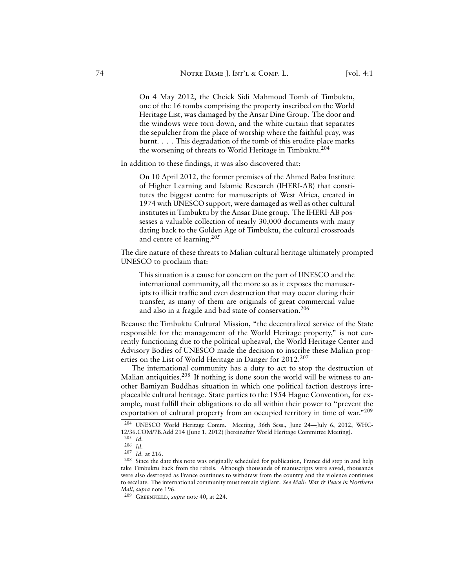On 4 May 2012, the Cheick Sidi Mahmoud Tomb of Timbuktu, one of the 16 tombs comprising the property inscribed on the World Heritage List, was damaged by the Ansar Dine Group. The door and the windows were torn down, and the white curtain that separates the sepulcher from the place of worship where the faithful pray, was burnt. . . . This degradation of the tomb of this erudite place marks the worsening of threats to World Heritage in Timbuktu.<sup>204</sup>

In addition to these findings, it was also discovered that:

On 10 April 2012, the former premises of the Ahmed Baba Institute of Higher Learning and Islamic Research (IHERI-AB) that constitutes the biggest centre for manuscripts of West Africa, created in 1974 with UNESCO support, were damaged as well as other cultural institutes in Timbuktu by the Ansar Dine group. The IHERI-AB possesses a valuable collection of nearly 30,000 documents with many dating back to the Golden Age of Timbuktu, the cultural crossroads and centre of learning.<sup>205</sup>

The dire nature of these threats to Malian cultural heritage ultimately prompted UNESCO to proclaim that:

This situation is a cause for concern on the part of UNESCO and the international community, all the more so as it exposes the manuscripts to illicit traffic and even destruction that may occur during their transfer, as many of them are originals of great commercial value and also in a fragile and bad state of conservation.<sup>206</sup>

Because the Timbuktu Cultural Mission, "the decentralized service of the State responsible for the management of the World Heritage property," is not currently functioning due to the political upheaval, the World Heritage Center and Advisory Bodies of UNESCO made the decision to inscribe these Malian properties on the List of World Heritage in Danger for 2012.<sup>207</sup>

The international community has a duty to act to stop the destruction of Malian antiquities.<sup>208</sup> If nothing is done soon the world will be witness to another Bamiyan Buddhas situation in which one political faction destroys irreplaceable cultural heritage. State parties to the 1954 Hague Convention, for example, must fulfill their obligations to do all within their power to "prevent the exportation of cultural property from an occupied territory in time of war."209

<sup>204</sup> UNESCO World Heritage Comm. Meeting, 36th Sess., June 24—July 6, 2012, WHC-12/36.COM/7B.Add 214 (June 1, 2012) [hereinafter World Heritage Committee Meeting].

<sup>205</sup> *Id.*

<sup>206</sup> *Id.*

<sup>207</sup> *Id.* at 216.

<sup>208</sup> Since the date this note was originally scheduled for publication, France did step in and help take Timbuktu back from the rebels. Although thousands of manuscripts were saved, thousands were also destroyed as France continues to withdraw from the country and the violence continues to escalate. The international community must remain vigilant. *See Mali: War & Peace in Northern Mali*, *supra* note 196.

<sup>209</sup> Greenfield, *supra* note 40, at 224.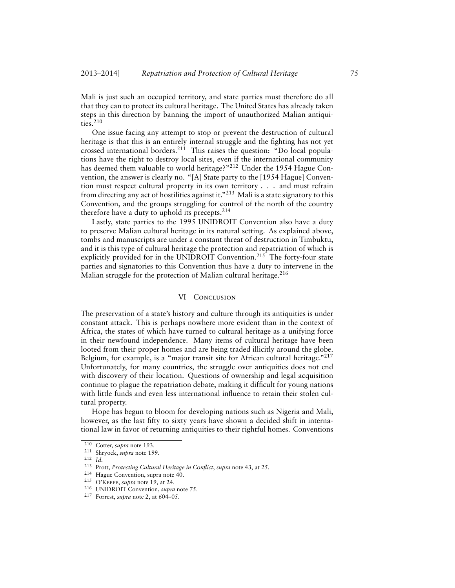Mali is just such an occupied territory, and state parties must therefore do all that they can to protect its cultural heritage. The United States has already taken steps in this direction by banning the import of unauthorized Malian antiquities. $210$ 

One issue facing any attempt to stop or prevent the destruction of cultural heritage is that this is an entirely internal struggle and the fighting has not yet crossed international borders.<sup>211</sup> This raises the question: "Do local populations have the right to destroy local sites, even if the international community has deemed them valuable to world heritage?"<sup>212</sup> Under the 1954 Hague Convention, the answer is clearly no. "[A] State party to the [1954 Hague] Convention must respect cultural property in its own territory . . . and must refrain from directing any act of hostilities against it."<sup>213</sup> Mali is a state signatory to this Convention, and the groups struggling for control of the north of the country therefore have a duty to uphold its precepts. $2^{14}$ 

Lastly, state parties to the 1995 UNIDROIT Convention also have a duty to preserve Malian cultural heritage in its natural setting. As explained above, tombs and manuscripts are under a constant threat of destruction in Timbuktu, and it is this type of cultural heritage the protection and repatriation of which is explicitly provided for in the UNIDROIT Convention.<sup>215</sup> The forty-four state parties and signatories to this Convention thus have a duty to intervene in the Malian struggle for the protection of Malian cultural heritage.<sup>216</sup>

#### VI CONCLUSION

The preservation of a state's history and culture through its antiquities is under constant attack. This is perhaps nowhere more evident than in the context of Africa, the states of which have turned to cultural heritage as a unifying force in their newfound independence. Many items of cultural heritage have been looted from their proper homes and are being traded illicitly around the globe. Belgium, for example, is a "major transit site for African cultural heritage."<sup>217</sup> Unfortunately, for many countries, the struggle over antiquities does not end with discovery of their location. Questions of ownership and legal acquisition continue to plague the repatriation debate, making it difficult for young nations with little funds and even less international influence to retain their stolen cultural property.

Hope has begun to bloom for developing nations such as Nigeria and Mali, however, as the last fifty to sixty years have shown a decided shift in international law in favor of returning antiquities to their rightful homes. Conventions

<sup>210</sup> Cotter, *supra* note 193.

<sup>211</sup> Shryock, *supra* note 199.

<sup>212</sup> *Id.*

<sup>213</sup> Prott, *Protecting Cultural Heritage in Conflict*, *supra* note 43, at 25.

Hague Convention, supra note 40.

<sup>215</sup> O'Keefe, *supra* note 19, at 24.

<sup>216</sup> UNIDROIT Convention, *supra* note 75.

<sup>217</sup> Forrest, *supra* note 2, at 604–05.